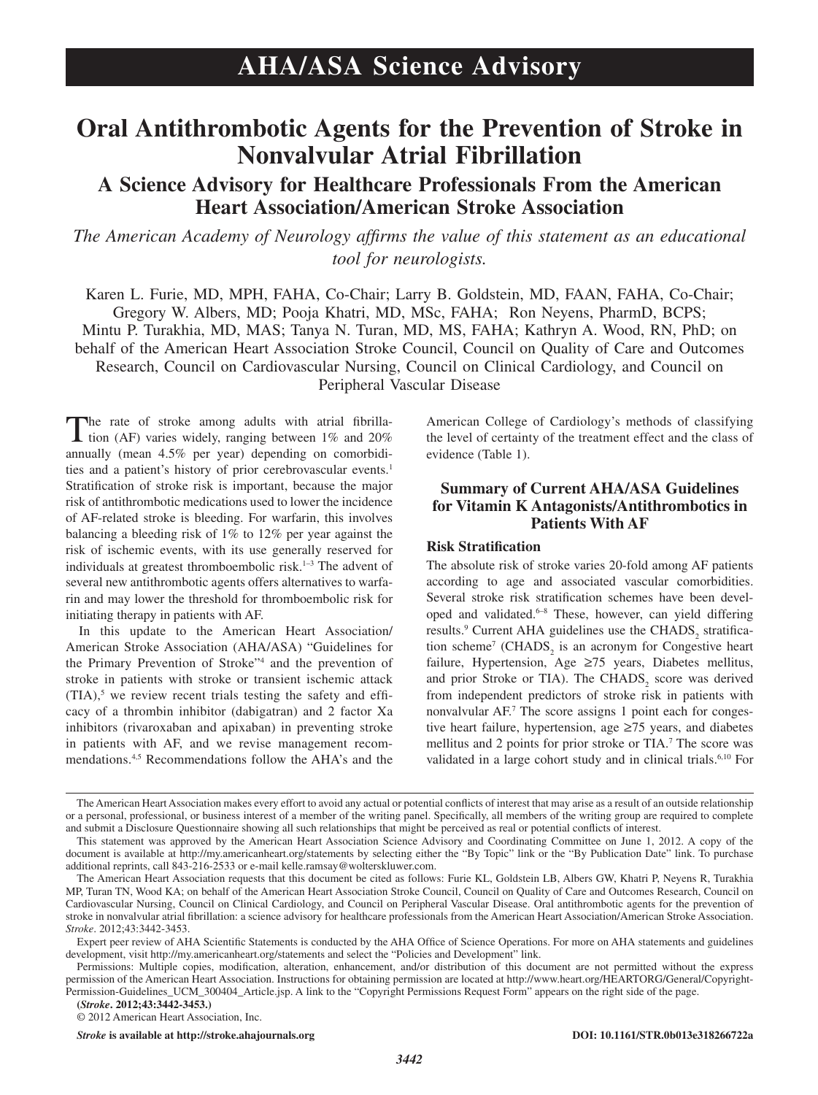# **Oral Antithrombotic Agents for the Prevention of Stroke in Nonvalvular Atrial Fibrillation**

# **A Science Advisory for Healthcare Professionals From the American Heart Association/American Stroke Association**

*The American Academy of Neurology affirms the value of this statement as an educational tool for neurologists.*

Karen L. Furie, MD, MPH, FAHA, Co-Chair; Larry B. Goldstein, MD, FAAN, FAHA, Co-Chair; Gregory W. Albers, MD; Pooja Khatri, MD, MSc, FAHA; Ron Neyens, PharmD, BCPS; Mintu P. Turakhia, MD, MAS; Tanya N. Turan, MD, MS, FAHA; Kathryn A. Wood, RN, PhD; on behalf of the American Heart Association Stroke Council, Council on Quality of Care and Outcomes Research, Council on Cardiovascular Nursing, Council on Clinical Cardiology, and Council on Peripheral Vascular Disease

The rate of stroke among adults with atrial fibrillation (AF) varies widely, ranging between 1% and 20% annually (mean 4.5% per year) depending on comorbidities and a patient's history of prior cerebrovascular events.<sup>1</sup> Stratification of stroke risk is important, because the major risk of antithrombotic medications used to lower the incidence of AF-related stroke is bleeding. For warfarin, this involves balancing a bleeding risk of 1% to 12% per year against the risk of ischemic events, with its use generally reserved for individuals at greatest thromboembolic risk.<sup>1-3</sup> The advent of several new antithrombotic agents offers alternatives to warfarin and may lower the threshold for thromboembolic risk for initiating therapy in patients with AF.

In this update to the American Heart Association/ American Stroke Association (AHA/ASA) "Guidelines for the Primary Prevention of Stroke"4 and the prevention of stroke in patients with stroke or transient ischemic attack  $(THA)$ ,<sup>5</sup> we review recent trials testing the safety and efficacy of a thrombin inhibitor (dabigatran) and 2 factor Xa inhibitors (rivaroxaban and apixaban) in preventing stroke in patients with AF, and we revise management recommendations.4,5 Recommendations follow the AHA's and the

American College of Cardiology's methods of classifying the level of certainty of the treatment effect and the class of evidence (Table 1).

# **Summary of Current AHA/ASA Guidelines for Vitamin K Antagonists/Antithrombotics in Patients With AF**

# **Risk Stratification**

The absolute risk of stroke varies 20-fold among AF patients according to age and associated vascular comorbidities. Several stroke risk stratification schemes have been developed and validated.6–8 These, however, can yield differing results.<sup>9</sup> Current AHA guidelines use the CHADS<sub>2</sub> stratification scheme<sup>7</sup> (CHADS<sub>2</sub> is an acronym for Congestive heart failure, Hypertension, Age ≥75 years, Diabetes mellitus, and prior Stroke or TIA). The  $\text{CHADS}_2$  score was derived from independent predictors of stroke risk in patients with nonvalvular AF.7 The score assigns 1 point each for congestive heart failure, hypertension, age ≥75 years, and diabetes mellitus and 2 points for prior stroke or TIA.<sup>7</sup> The score was validated in a large cohort study and in clinical trials.<sup>6,10</sup> For

**(***Stroke***. 2012;43:3442-3453.)** © 2012 American Heart Association, Inc.

The American Heart Association makes every effort to avoid any actual or potential conflicts of interest that may arise as a result of an outside relationship or a personal, professional, or business interest of a member of the writing panel. Specifically, all members of the writing group are required to complete and submit a Disclosure Questionnaire showing all such relationships that might be perceived as real or potential conflicts of interest.

This statement was approved by the American Heart Association Science Advisory and Coordinating Committee on June 1, 2012. A copy of the document is available at http://my.americanheart.org/statements by selecting either the "By Topic" link or the "By Publication Date" link. To purchase additional reprints, call 843-216-2533 or e-mail [kelle.ramsay@wolterskluwer.com](mailto: kelle.ramsay@wolterskluwer.com).

The American Heart Association requests that this document be cited as follows: Furie KL, Goldstein LB, Albers GW, Khatri P, Neyens R, Turakhia MP, Turan TN, Wood KA; on behalf of the American Heart Association Stroke Council, Council on Quality of Care and Outcomes Research, Council on Cardiovascular Nursing, Council on Clinical Cardiology, and Council on Peripheral Vascular Disease. Oral antithrombotic agents for the prevention of stroke in nonvalvular atrial fibrillation: a science advisory for healthcare professionals from the American Heart Association/American Stroke Association. *Stroke*. 2012;43:3442-3453.

Expert peer review of AHA Scientific Statements is conducted by the AHA Office of Science Operations. For more on AHA statements and guidelines development, visit http://my.americanheart.org/statements and select the "Policies and Development" link.

Permissions: Multiple copies, modification, alteration, enhancement, and/or distribution of this document are not permitted without the express permission of the American Heart Association. Instructions for obtaining permission are located at [http://www.heart.org/HEARTORG/General/Copyright-](http://www.heart.org/HEARTORG/General/�Copyright-�Permission-Guidelines_UCM_300404_Article.jsp)[Permission-Guidelines\\_UCM\\_300404\\_Article.jsp.](http://www.heart.org/HEARTORG/General/�Copyright-�Permission-Guidelines_UCM_300404_Article.jsp) A link to the "Copyright Permissions Request Form" appears on the right side of the page.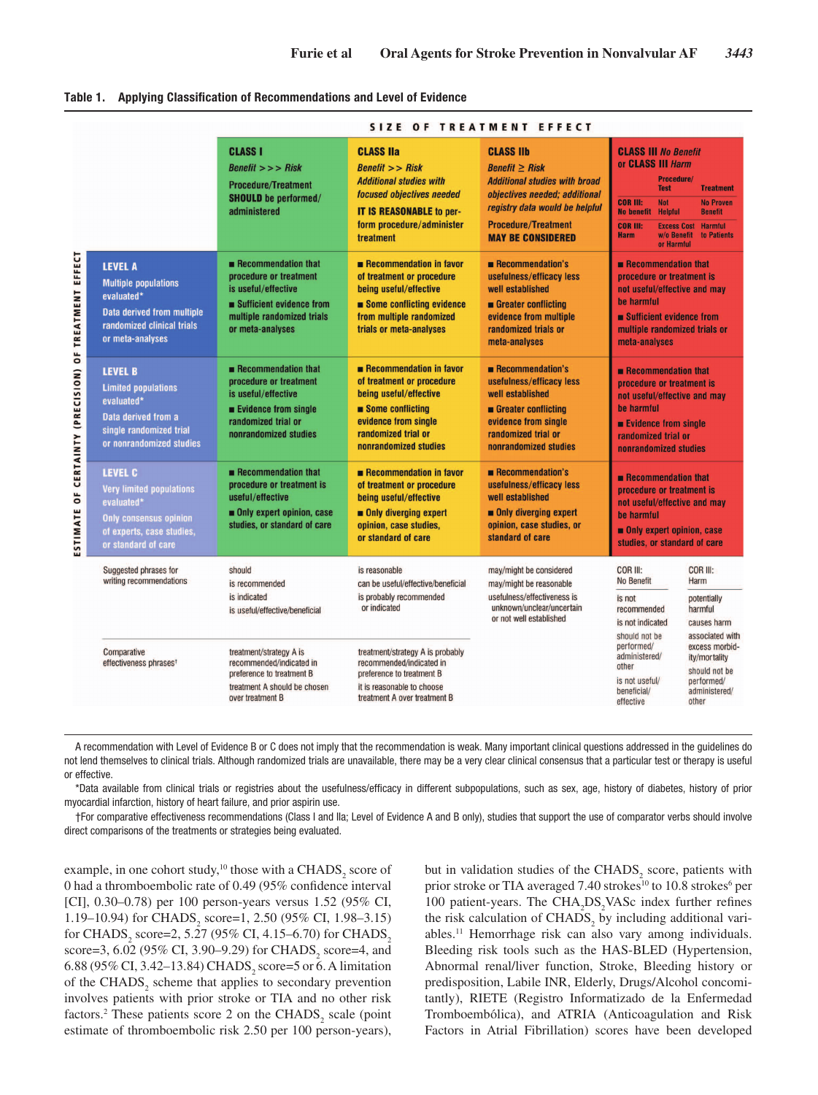| Table 1. |  |  | Applying Classification of Recommendations and Level of Evidence |
|----------|--|--|------------------------------------------------------------------|
|----------|--|--|------------------------------------------------------------------|

|                                                       |                                                                                                                                                      |                                                                                                                                                                   | SIZE OF TREATMENT EFFECT                                                                                                                                                                  |                                                                                                                                                                                                                                |                                                                                                                                                                                                                                                                                                                                       |  |
|-------------------------------------------------------|------------------------------------------------------------------------------------------------------------------------------------------------------|-------------------------------------------------------------------------------------------------------------------------------------------------------------------|-------------------------------------------------------------------------------------------------------------------------------------------------------------------------------------------|--------------------------------------------------------------------------------------------------------------------------------------------------------------------------------------------------------------------------------|---------------------------------------------------------------------------------------------------------------------------------------------------------------------------------------------------------------------------------------------------------------------------------------------------------------------------------------|--|
|                                                       |                                                                                                                                                      | <b>CLASS I</b><br>Benefit $>>$ Risk<br><b>Procedure/Treatment</b><br><b>SHOULD</b> be performed/<br>administered                                                  | <b>CLASS IIa</b><br><b>Benefit</b> >> Risk<br><b>Additional studies with</b><br>focused objectives needed<br><b>IT IS REASONABLE to per-</b><br>form procedure/administer<br>treatment    | <b>CLASS IIb</b><br><b>Benefit <math>\geq</math> Risk</b><br><b>Additional studies with broad</b><br>objectives needed; additional<br>registry data would be helpful<br><b>Procedure/Treatment</b><br><b>MAY BE CONSIDERED</b> | <b>CLASS III No Benefit</b><br>or CLASS III Harm<br>Procedure/<br><b>Test</b><br><b>Treatment</b><br><b>COR III:</b><br><b>Not</b><br><b>No Proven</b><br><b>No benefit</b><br><b>Helpful</b><br><b>Benefit</b><br><b>Excess Cost</b><br><b>COR III:</b><br><b>Harmful</b><br>w/o Benefit<br><b>Harm</b><br>to Patients<br>or Harmful |  |
| ESTIMATE OF CERTAINTY (PRECISION) OF TREATMENT EFFECT | <b>LEVEL A</b><br><b>Multiple populations</b><br>evaluated*<br><b>Data derived from multiple</b><br>randomized clinical trials<br>or meta-analyses   | $\blacksquare$ Recommendation that<br>procedure or treatment<br>is useful/effective<br>Sufficient evidence from<br>multiple randomized trials<br>or meta-analyses | $\blacksquare$ Recommendation in favor<br>of treatment or procedure<br>being useful/effective<br>Some conflicting evidence<br>from multiple randomized<br>trials or meta-analyses         | <b>Recommendation's</b><br>usefulness/efficacy less<br>well established<br>Greater conflicting<br>evidence from multiple<br>randomized trials or<br>meta-analyses                                                              | Recommendation that<br>procedure or treatment is<br>not useful/effective and may<br>be harmful<br>Sufficient evidence from<br>multiple randomized trials or<br>meta-analyses                                                                                                                                                          |  |
|                                                       | <b>LEVEL B</b><br><b>Limited populations</b><br>evaluated*<br>Data derived from a<br>single randomized trial<br>or nonrandomized studies             | Recommendation that<br>procedure or treatment<br>is useful/effective<br>Evidence from single<br>randomized trial or<br>nonrandomized studies                      | $\blacksquare$ Recommendation in favor<br>of treatment or procedure<br>being useful/effective<br>Some conflicting<br>evidence from single<br>randomized trial or<br>nonrandomized studies | Recommendation's<br>usefulness/efficacy less<br>well established<br>Greater conflicting<br>evidence from single<br>randomized trial or<br>nonrandomized studies                                                                | Recommendation that<br>procedure or treatment is<br>not useful/effective and may<br>be harmful<br><b>Evidence from single</b><br>randomized trial or<br>nonrandomized studies                                                                                                                                                         |  |
|                                                       | <b>LEVEL C</b><br><b>Very limited populations</b><br>evaluated*<br><b>Only consensus opinion</b><br>of experts, case studies,<br>or standard of care | Recommendation that<br>procedure or treatment is<br>useful/effective<br>Only expert opinion, case<br>studies, or standard of care                                 | Recommendation in favor<br>of treatment or procedure<br>being useful/effective<br>Only diverging expert<br>opinion, case studies,<br>or standard of care                                  | Recommendation's<br>usefulness/efficacy less<br>well established<br>Only diverging expert<br>opinion, case studies, or<br>standard of care                                                                                     | <b>Recommendation that</b><br>procedure or treatment is<br>not useful/effective and may<br>be harmful<br>Only expert opinion, case<br>studies, or standard of care                                                                                                                                                                    |  |
|                                                       | Suggested phrases for<br>writing recommendations                                                                                                     | should<br>is recommended<br>is indicated<br>is useful/effective/beneficial                                                                                        | is reasonable<br>can be useful/effective/beneficial<br>is probably recommended<br>or indicated                                                                                            | may/might be considered<br>may/might be reasonable<br>usefulness/effectiveness is<br>unknown/unclear/uncertain<br>or not well established                                                                                      | <b>COR III:</b><br>COR III:<br>No Benefit<br><b>Harm</b><br>potentially<br>is not<br>harmful<br>recommended<br>is not indicated<br>causes harm<br>associated with<br>should not be                                                                                                                                                    |  |
|                                                       | Comparative<br>effectiveness phrases <sup>t</sup>                                                                                                    | treatment/strategy A is<br>recommended/indicated in<br>preference to treatment B<br>treatment A should be chosen<br>over treatment B                              | treatment/strategy A is probably<br>recommended/indicated in<br>preference to treatment B<br>it is reasonable to choose<br>treatment A over treatment B                                   |                                                                                                                                                                                                                                | performed/<br>excess morbid-<br>administered/<br>ity/mortality<br>other<br>should not be<br>is not useful/<br>performed/<br>beneficial/<br>administered/<br>effective<br>other                                                                                                                                                        |  |

A recommendation with Level of Evidence B or C does not imply that the recommendation is weak. Many important clinical questions addressed in the guidelines do not lend themselves to clinical trials. Although randomized trials are unavailable, there may be a very clear clinical consensus that a particular test or therapy is useful or effective.

\*Data available from clinical trials or registries about the usefulness/efficacy in different subpopulations, such as sex, age, history of diabetes, history of prior myocardial infarction, history of heart failure, and prior aspirin use.

†For comparative effectiveness recommendations (Class I and IIa; Level of Evidence A and B only), studies that support the use of comparator verbs should involve direct comparisons of the treatments or strategies being evaluated.

example, in one cohort study,<sup>10</sup> those with a  $\text{CHADS}_2$  score of 0 had a thromboembolic rate of 0.49 (95% confidence interval [CI], 0.30–0.78) per 100 person-years versus 1.52 (95% CI, 1.19–10.94) for CHADS<sub>2</sub> score=1, 2.50 (95% CI, 1.98–3.15) for CHADS<sub>2</sub> score=2, 5.27 (95% CI, 4.15–6.70) for CHADS<sub>2</sub> score=3, 6.02 (95% CI, 3.90–9.29) for CHADS<sub>2</sub> score=4, and 6.88 (95% CI, 3.42–13.84) CHADS<sub>2</sub> score=5 or 6. A limitation of the CHADS<sub>2</sub> scheme that applies to secondary prevention involves patients with prior stroke or TIA and no other risk factors.<sup>2</sup> These patients score 2 on the CHADS<sub>2</sub> scale (point estimate of thromboembolic risk 2.50 per 100 person-years),

but in validation studies of the CHADS<sub>2</sub> score, patients with prior stroke or TIA averaged 7.40 strokes<sup>10</sup> to 10.8 strokes<sup>6</sup> per 100 patient-years. The CHA<sub>2</sub>DS<sub>2</sub>VASc index further refines the risk calculation of  $\text{CHADS}_2$  by including additional variables.11 Hemorrhage risk can also vary among individuals. Bleeding risk tools such as the HAS-BLED (Hypertension, Abnormal renal/liver function, Stroke, Bleeding history or predisposition, Labile INR, Elderly, Drugs/Alcohol concomitantly), RIETE (Registro Informatizado de la Enfermedad Tromboembólica), and ATRIA (Anticoagulation and Risk Factors in Atrial Fibrillation) scores have been developed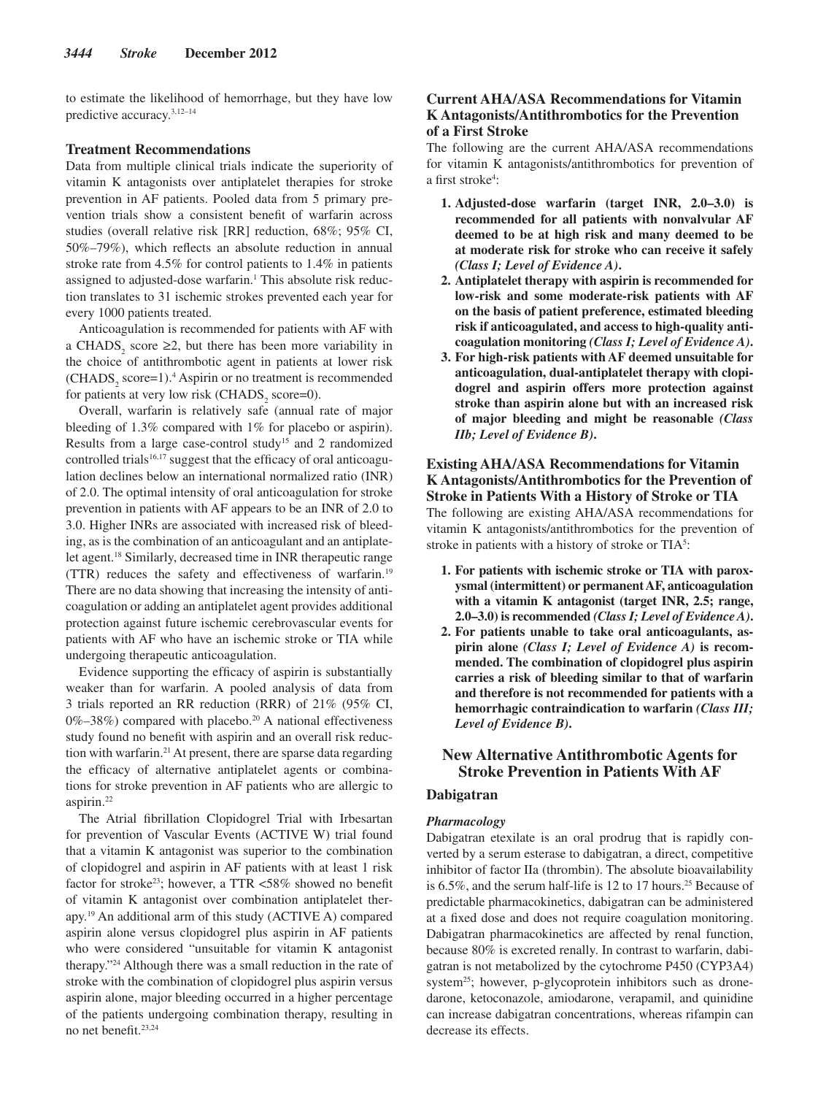to estimate the likelihood of hemorrhage, but they have low predictive accuracy.3,12–14

### **Treatment Recommendations**

Data from multiple clinical trials indicate the superiority of vitamin K antagonists over antiplatelet therapies for stroke prevention in AF patients. Pooled data from 5 primary prevention trials show a consistent benefit of warfarin across studies (overall relative risk [RR] reduction, 68%; 95% CI, 50%–79%), which reflects an absolute reduction in annual stroke rate from 4.5% for control patients to 1.4% in patients assigned to adjusted-dose warfarin.<sup>1</sup> This absolute risk reduction translates to 31 ischemic strokes prevented each year for every 1000 patients treated.

Anticoagulation is recommended for patients with AF with a CHADS<sub>2</sub> score  $\geq 2$ , but there has been more variability in the choice of antithrombotic agent in patients at lower risk  $(CHADS<sub>2</sub> score=1).<sup>4</sup> Aspirin or no treatment is recommended$ for patients at very low risk (CHADS<sub>2</sub> score=0).

Overall, warfarin is relatively safe (annual rate of major bleeding of 1.3% compared with 1% for placebo or aspirin). Results from a large case-control study<sup>15</sup> and 2 randomized controlled trials<sup>16,17</sup> suggest that the efficacy of oral anticoagulation declines below an international normalized ratio (INR) of 2.0. The optimal intensity of oral anticoagulation for stroke prevention in patients with AF appears to be an INR of 2.0 to 3.0. Higher INRs are associated with increased risk of bleeding, as is the combination of an anticoagulant and an antiplatelet agent.18 Similarly, decreased time in INR therapeutic range (TTR) reduces the safety and effectiveness of warfarin.19 There are no data showing that increasing the intensity of anticoagulation or adding an antiplatelet agent provides additional protection against future ischemic cerebrovascular events for patients with AF who have an ischemic stroke or TIA while undergoing therapeutic anticoagulation.

Evidence supporting the efficacy of aspirin is substantially weaker than for warfarin. A pooled analysis of data from 3 trials reported an RR reduction (RRR) of 21% (95% CI,  $0\% - 38\%$ ) compared with placebo.<sup>20</sup> A national effectiveness study found no benefit with aspirin and an overall risk reduction with warfarin.<sup>21</sup> At present, there are sparse data regarding the efficacy of alternative antiplatelet agents or combinations for stroke prevention in AF patients who are allergic to aspirin.22

The Atrial fibrillation Clopidogrel Trial with Irbesartan for prevention of Vascular Events (ACTIVE W) trial found that a vitamin K antagonist was superior to the combination of clopidogrel and aspirin in AF patients with at least 1 risk factor for stroke23; however, a TTR <58% showed no benefit of vitamin K antagonist over combination antiplatelet therapy.19 An additional arm of this study (ACTIVE A) compared aspirin alone versus clopidogrel plus aspirin in AF patients who were considered "unsuitable for vitamin K antagonist therapy."24 Although there was a small reduction in the rate of stroke with the combination of clopidogrel plus aspirin versus aspirin alone, major bleeding occurred in a higher percentage of the patients undergoing combination therapy, resulting in no net benefit.23,24

# **Current AHA/ASA Recommendations for Vitamin K Antagonists/Antithrombotics for the Prevention of a First Stroke**

The following are the current AHA/ASA recommendations for vitamin K antagonists/antithrombotics for prevention of a first stroke<sup>4</sup>:

- **1. Adjusted-dose warfarin (target INR, 2.0–3.0) is recommended for all patients with nonvalvular AF deemed to be at high risk and many deemed to be at moderate risk for stroke who can receive it safely**  *(Class I; Level of Evidence A)***.**
- **2. Antiplatelet therapy with aspirin is recommended for low-risk and some moderate-risk patients with AF on the basis of patient preference, estimated bleeding risk if anticoagulated, and access to high-quality anticoagulation monitoring** *(Class I; Level of Evidence A)***.**
- **3. For high-risk patients with AF deemed unsuitable for anticoagulation, dual-antiplatelet therapy with clopidogrel and aspirin offers more protection against stroke than aspirin alone but with an increased risk of major bleeding and might be reasonable** *(Class IIb; Level of Evidence B)***.**

# **Existing AHA/ASA Recommendations for Vitamin K Antagonists/Antithrombotics for the Prevention of Stroke in Patients With a History of Stroke or TIA**

The following are existing AHA/ASA recommendations for vitamin K antagonists/antithrombotics for the prevention of stroke in patients with a history of stroke or TIA<sup>5</sup>:

- **1. For patients with ischemic stroke or TIA with paroxysmal (intermittent) or permanent AF, anticoagulation with a vitamin K antagonist (target INR, 2.5; range, 2.0–3.0) is recommended** *(Class I; Level of Evidence A)***.**
- **2. For patients unable to take oral anticoagulants, aspirin alone** *(Class I; Level of Evidence A)* **is recommended. The combination of clopidogrel plus aspirin carries a risk of bleeding similar to that of warfarin and therefore is not recommended for patients with a hemorrhagic contraindication to warfarin** *(Class III; Level of Evidence B)***.**

# **New Alternative Antithrombotic Agents for Stroke Prevention in Patients With AF**

# **Dabigatran**

# *Pharmacology*

Dabigatran etexilate is an oral prodrug that is rapidly converted by a serum esterase to dabigatran, a direct, competitive inhibitor of factor IIa (thrombin). The absolute bioavailability is 6.5%, and the serum half-life is 12 to 17 hours.<sup>25</sup> Because of predictable pharmacokinetics, dabigatran can be administered at a fixed dose and does not require coagulation monitoring. Dabigatran pharmacokinetics are affected by renal function, because 80% is excreted renally. In contrast to warfarin, dabigatran is not metabolized by the cytochrome P450 (CYP3A4) system<sup>25</sup>; however, p-glycoprotein inhibitors such as dronedarone, ketoconazole, amiodarone, verapamil, and quinidine can increase dabigatran concentrations, whereas rifampin can decrease its effects.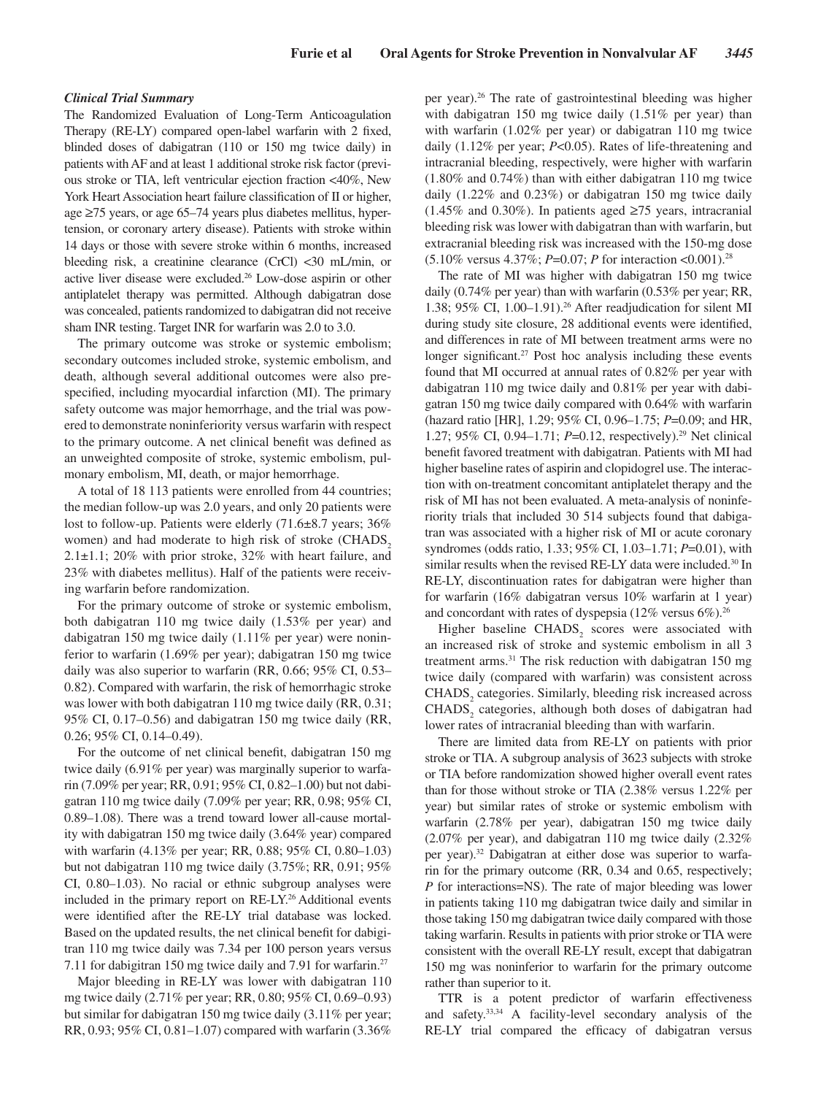#### *Clinical Trial Summary*

The Randomized Evaluation of Long-Term Anticoagulation Therapy (RE-LY) compared open-label warfarin with 2 fixed, blinded doses of dabigatran (110 or 150 mg twice daily) in patients with AF and at least 1 additional stroke risk factor (previous stroke or TIA, left ventricular ejection fraction <40%, New York Heart Association heart failure classification of II or higher, age ≥75 years, or age 65–74 years plus diabetes mellitus, hypertension, or coronary artery disease). Patients with stroke within 14 days or those with severe stroke within 6 months, increased bleeding risk, a creatinine clearance (CrCl) <30 mL/min, or active liver disease were excluded.26 Low-dose aspirin or other antiplatelet therapy was permitted. Although dabigatran dose was concealed, patients randomized to dabigatran did not receive sham INR testing. Target INR for warfarin was 2.0 to 3.0.

The primary outcome was stroke or systemic embolism; secondary outcomes included stroke, systemic embolism, and death, although several additional outcomes were also prespecified, including myocardial infarction (MI). The primary safety outcome was major hemorrhage, and the trial was powered to demonstrate noninferiority versus warfarin with respect to the primary outcome. A net clinical benefit was defined as an unweighted composite of stroke, systemic embolism, pulmonary embolism, MI, death, or major hemorrhage.

A total of 18 113 patients were enrolled from 44 countries; the median follow-up was 2.0 years, and only 20 patients were lost to follow-up. Patients were elderly (71.6±8.7 years; 36% women) and had moderate to high risk of stroke (CHADS<sub>2</sub>) 2.1±1.1; 20% with prior stroke, 32% with heart failure, and 23% with diabetes mellitus). Half of the patients were receiving warfarin before randomization.

For the primary outcome of stroke or systemic embolism, both dabigatran 110 mg twice daily (1.53% per year) and dabigatran 150 mg twice daily (1.11% per year) were noninferior to warfarin (1.69% per year); dabigatran 150 mg twice daily was also superior to warfarin (RR, 0.66; 95% CI, 0.53– 0.82). Compared with warfarin, the risk of hemorrhagic stroke was lower with both dabigatran 110 mg twice daily (RR, 0.31; 95% CI, 0.17–0.56) and dabigatran 150 mg twice daily (RR, 0.26; 95% CI, 0.14–0.49).

For the outcome of net clinical benefit, dabigatran 150 mg twice daily (6.91% per year) was marginally superior to warfarin (7.09% per year; RR, 0.91; 95% CI, 0.82–1.00) but not dabigatran 110 mg twice daily (7.09% per year; RR, 0.98; 95% CI, 0.89–1.08). There was a trend toward lower all-cause mortality with dabigatran 150 mg twice daily (3.64% year) compared with warfarin (4.13% per year; RR, 0.88; 95% CI, 0.80–1.03) but not dabigatran 110 mg twice daily (3.75%; RR, 0.91; 95% CI, 0.80–1.03). No racial or ethnic subgroup analyses were included in the primary report on RE-LY.<sup>26</sup> Additional events were identified after the RE-LY trial database was locked. Based on the updated results, the net clinical benefit for dabigitran 110 mg twice daily was 7.34 per 100 person years versus 7.11 for dabigitran 150 mg twice daily and 7.91 for warfarin.<sup>27</sup>

Major bleeding in RE-LY was lower with dabigatran 110 mg twice daily (2.71% per year; RR, 0.80; 95% CI, 0.69–0.93) but similar for dabigatran 150 mg twice daily (3.11% per year; RR, 0.93; 95% CI, 0.81–1.07) compared with warfarin (3.36%

per year).26 The rate of gastrointestinal bleeding was higher with dabigatran 150 mg twice daily (1.51% per year) than with warfarin (1.02% per year) or dabigatran 110 mg twice daily (1.12% per year; *P*<0.05). Rates of life-threatening and intracranial bleeding, respectively, were higher with warfarin (1.80% and 0.74%) than with either dabigatran 110 mg twice daily (1.22% and 0.23%) or dabigatran 150 mg twice daily (1.45% and 0.30%). In patients aged  $\geq$ 75 years, intracranial bleeding risk was lower with dabigatran than with warfarin, but extracranial bleeding risk was increased with the 150-mg dose (5.10% versus 4.37%; *P*=0.07; *P* for interaction <0.001).28

The rate of MI was higher with dabigatran 150 mg twice daily (0.74% per year) than with warfarin (0.53% per year; RR, 1.38; 95% CI, 1.00–1.91).26 After readjudication for silent MI during study site closure, 28 additional events were identified, and differences in rate of MI between treatment arms were no longer significant.<sup>27</sup> Post hoc analysis including these events found that MI occurred at annual rates of 0.82% per year with dabigatran 110 mg twice daily and 0.81% per year with dabigatran 150 mg twice daily compared with 0.64% with warfarin (hazard ratio [HR], 1.29; 95% CI, 0.96–1.75; *P*=0.09; and HR, 1.27; 95% CI, 0.94–1.71; *P*=0.12, respectively).29 Net clinical benefit favored treatment with dabigatran. Patients with MI had higher baseline rates of aspirin and clopidogrel use. The interaction with on-treatment concomitant antiplatelet therapy and the risk of MI has not been evaluated. A meta-analysis of noninferiority trials that included 30 514 subjects found that dabigatran was associated with a higher risk of MI or acute coronary syndromes (odds ratio, 1.33; 95% CI, 1.03–1.71; *P*=0.01), with similar results when the revised RE-LY data were included.<sup>30</sup> In RE-LY, discontinuation rates for dabigatran were higher than for warfarin (16% dabigatran versus 10% warfarin at 1 year) and concordant with rates of dyspepsia  $(12\% \text{ versus } 6\%)$ .<sup>26</sup>

Higher baseline  $\text{CHADS}_2$  scores were associated with an increased risk of stroke and systemic embolism in all 3 treatment arms.<sup>31</sup> The risk reduction with dabigatran 150 mg twice daily (compared with warfarin) was consistent across  $\text{CHADS}_2$  categories. Similarly, bleeding risk increased across  $\mathrm{CHADS}_2$  categories, although both doses of dabigatran had lower rates of intracranial bleeding than with warfarin.

There are limited data from RE-LY on patients with prior stroke or TIA. A subgroup analysis of 3623 subjects with stroke or TIA before randomization showed higher overall event rates than for those without stroke or TIA (2.38% versus 1.22% per year) but similar rates of stroke or systemic embolism with warfarin (2.78% per year), dabigatran 150 mg twice daily (2.07% per year), and dabigatran 110 mg twice daily (2.32% per year).32 Dabigatran at either dose was superior to warfarin for the primary outcome (RR, 0.34 and 0.65, respectively; *P* for interactions=NS). The rate of major bleeding was lower in patients taking 110 mg dabigatran twice daily and similar in those taking 150 mg dabigatran twice daily compared with those taking warfarin. Results in patients with prior stroke or TIA were consistent with the overall RE-LY result, except that dabigatran 150 mg was noninferior to warfarin for the primary outcome rather than superior to it.

TTR is a potent predictor of warfarin effectiveness and safety.33,34 A facility-level secondary analysis of the RE-LY trial compared the efficacy of dabigatran versus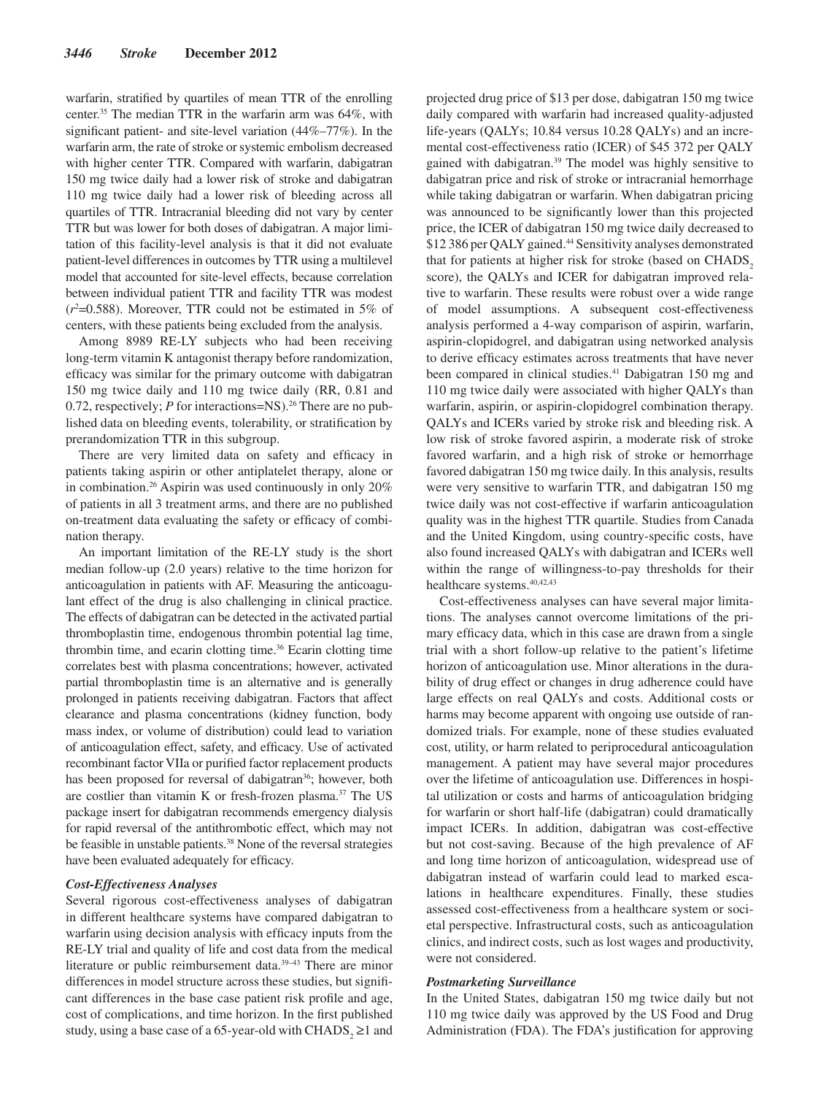warfarin, stratified by quartiles of mean TTR of the enrolling center.35 The median TTR in the warfarin arm was 64%, with significant patient- and site-level variation (44%–77%). In the warfarin arm, the rate of stroke or systemic embolism decreased with higher center TTR. Compared with warfarin, dabigatran 150 mg twice daily had a lower risk of stroke and dabigatran 110 mg twice daily had a lower risk of bleeding across all quartiles of TTR. Intracranial bleeding did not vary by center TTR but was lower for both doses of dabigatran. A major limitation of this facility-level analysis is that it did not evaluate patient-level differences in outcomes by TTR using a multilevel model that accounted for site-level effects, because correlation between individual patient TTR and facility TTR was modest  $(r^2=0.588)$ . Moreover, TTR could not be estimated in 5% of centers, with these patients being excluded from the analysis.

Among 8989 RE-LY subjects who had been receiving long-term vitamin K antagonist therapy before randomization, efficacy was similar for the primary outcome with dabigatran 150 mg twice daily and 110 mg twice daily (RR, 0.81 and 0.72, respectively; *P* for interactions=NS).<sup>26</sup> There are no published data on bleeding events, tolerability, or stratification by prerandomization TTR in this subgroup.

There are very limited data on safety and efficacy in patients taking aspirin or other antiplatelet therapy, alone or in combination.26 Aspirin was used continuously in only 20% of patients in all 3 treatment arms, and there are no published on-treatment data evaluating the safety or efficacy of combination therapy.

An important limitation of the RE-LY study is the short median follow-up (2.0 years) relative to the time horizon for anticoagulation in patients with AF. Measuring the anticoagulant effect of the drug is also challenging in clinical practice. The effects of dabigatran can be detected in the activated partial thromboplastin time, endogenous thrombin potential lag time, thrombin time, and ecarin clotting time.<sup>36</sup> Ecarin clotting time correlates best with plasma concentrations; however, activated partial thromboplastin time is an alternative and is generally prolonged in patients receiving dabigatran. Factors that affect clearance and plasma concentrations (kidney function, body mass index, or volume of distribution) could lead to variation of anticoagulation effect, safety, and efficacy. Use of activated recombinant factor VIIa or purified factor replacement products has been proposed for reversal of dabigatran<sup>36</sup>; however, both are costlier than vitamin K or fresh-frozen plasma.37 The US package insert for dabigatran recommends emergency dialysis for rapid reversal of the antithrombotic effect, which may not be feasible in unstable patients.<sup>38</sup> None of the reversal strategies have been evaluated adequately for efficacy.

#### *Cost-Effectiveness Analyses*

Several rigorous cost-effectiveness analyses of dabigatran in different healthcare systems have compared dabigatran to warfarin using decision analysis with efficacy inputs from the RE-LY trial and quality of life and cost data from the medical literature or public reimbursement data.39–43 There are minor differences in model structure across these studies, but significant differences in the base case patient risk profile and age, cost of complications, and time horizon. In the first published study, using a base case of a 65-year-old with CHADS,  $\geq 1$  and

projected drug price of \$13 per dose, dabigatran 150 mg twice daily compared with warfarin had increased quality-adjusted life-years (QALYs; 10.84 versus 10.28 QALYs) and an incremental cost-effectiveness ratio (ICER) of \$45 372 per QALY gained with dabigatran.39 The model was highly sensitive to dabigatran price and risk of stroke or intracranial hemorrhage while taking dabigatran or warfarin. When dabigatran pricing was announced to be significantly lower than this projected price, the ICER of dabigatran 150 mg twice daily decreased to \$12 386 per QALY gained.44 Sensitivity analyses demonstrated that for patients at higher risk for stroke (based on  $CHADS<sub>2</sub>$ score), the QALYs and ICER for dabigatran improved relative to warfarin. These results were robust over a wide range of model assumptions. A subsequent cost-effectiveness analysis performed a 4-way comparison of aspirin, warfarin, aspirin-clopidogrel, and dabigatran using networked analysis to derive efficacy estimates across treatments that have never been compared in clinical studies.41 Dabigatran 150 mg and 110 mg twice daily were associated with higher QALYs than warfarin, aspirin, or aspirin-clopidogrel combination therapy. QALYs and ICERs varied by stroke risk and bleeding risk. A low risk of stroke favored aspirin, a moderate risk of stroke favored warfarin, and a high risk of stroke or hemorrhage favored dabigatran 150 mg twice daily. In this analysis, results were very sensitive to warfarin TTR, and dabigatran 150 mg twice daily was not cost-effective if warfarin anticoagulation quality was in the highest TTR quartile. Studies from Canada and the United Kingdom, using country-specific costs, have also found increased QALYs with dabigatran and ICERs well within the range of willingness-to-pay thresholds for their healthcare systems.<sup>40,42,43</sup>

Cost-effectiveness analyses can have several major limitations. The analyses cannot overcome limitations of the primary efficacy data, which in this case are drawn from a single trial with a short follow-up relative to the patient's lifetime horizon of anticoagulation use. Minor alterations in the durability of drug effect or changes in drug adherence could have large effects on real QALYs and costs. Additional costs or harms may become apparent with ongoing use outside of randomized trials. For example, none of these studies evaluated cost, utility, or harm related to periprocedural anticoagulation management. A patient may have several major procedures over the lifetime of anticoagulation use. Differences in hospital utilization or costs and harms of anticoagulation bridging for warfarin or short half-life (dabigatran) could dramatically impact ICERs. In addition, dabigatran was cost-effective but not cost-saving. Because of the high prevalence of AF and long time horizon of anticoagulation, widespread use of dabigatran instead of warfarin could lead to marked escalations in healthcare expenditures. Finally, these studies assessed cost-effectiveness from a healthcare system or societal perspective. Infrastructural costs, such as anticoagulation clinics, and indirect costs, such as lost wages and productivity, were not considered.

#### *Postmarketing Surveillance*

In the United States, dabigatran 150 mg twice daily but not 110 mg twice daily was approved by the US Food and Drug Administration (FDA). The FDA's justification for approving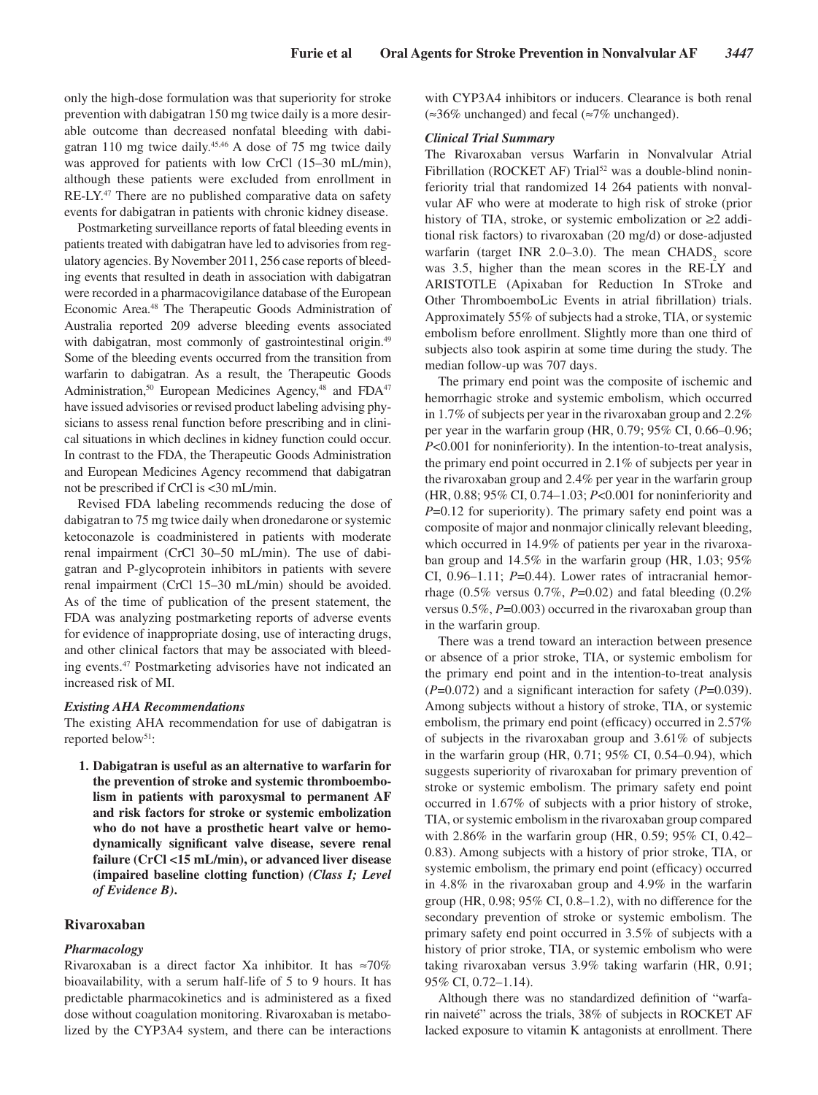only the high-dose formulation was that superiority for stroke prevention with dabigatran 150 mg twice daily is a more desirable outcome than decreased nonfatal bleeding with dabigatran 110 mg twice daily.45,46 A dose of 75 mg twice daily was approved for patients with low CrCl (15–30 mL/min), although these patients were excluded from enrollment in RE-LY.<sup>47</sup> There are no published comparative data on safety events for dabigatran in patients with chronic kidney disease.

Postmarketing surveillance reports of fatal bleeding events in patients treated with dabigatran have led to advisories from regulatory agencies. By November 2011, 256 case reports of bleeding events that resulted in death in association with dabigatran were recorded in a pharmacovigilance database of the European Economic Area.48 The Therapeutic Goods Administration of Australia reported 209 adverse bleeding events associated with dabigatran, most commonly of gastrointestinal origin.<sup>49</sup> Some of the bleeding events occurred from the transition from warfarin to dabigatran. As a result, the Therapeutic Goods Administration,<sup>50</sup> European Medicines Agency,<sup>48</sup> and FDA<sup>47</sup> have issued advisories or revised product labeling advising physicians to assess renal function before prescribing and in clinical situations in which declines in kidney function could occur. In contrast to the FDA, the Therapeutic Goods Administration and European Medicines Agency recommend that dabigatran not be prescribed if CrCl is <30 mL/min.

Revised FDA labeling recommends reducing the dose of dabigatran to 75 mg twice daily when dronedarone or systemic ketoconazole is coadministered in patients with moderate renal impairment (CrCl 30–50 mL/min). The use of dabigatran and P-glycoprotein inhibitors in patients with severe renal impairment (CrCl 15–30 mL/min) should be avoided. As of the time of publication of the present statement, the FDA was analyzing postmarketing reports of adverse events for evidence of inappropriate dosing, use of interacting drugs, and other clinical factors that may be associated with bleeding events.47 Postmarketing advisories have not indicated an increased risk of MI.

#### *Existing AHA Recommendations*

The existing AHA recommendation for use of dabigatran is reported below<sup>51</sup>:

**1. Dabigatran is useful as an alternative to warfarin for the prevention of stroke and systemic thromboembolism in patients with paroxysmal to permanent AF and risk factors for stroke or systemic embolization who do not have a prosthetic heart valve or hemodynamically significant valve disease, severe renal failure (CrCl <15 mL/min), or advanced liver disease (impaired baseline clotting function)** *(Class I; Level of Evidence B)***.**

#### **Rivaroxaban**

#### *Pharmacology*

Rivaroxaban is a direct factor Xa inhibitor. It has  $\approx 70\%$ bioavailability, with a serum half-life of 5 to 9 hours. It has predictable pharmacokinetics and is administered as a fixed dose without coagulation monitoring. Rivaroxaban is metabolized by the CYP3A4 system, and there can be interactions with CYP3A4 inhibitors or inducers. Clearance is both renal  $\approx$  36% unchanged) and fecal (≈7% unchanged).

#### *Clinical Trial Summary*

The Rivaroxaban versus Warfarin in Nonvalvular Atrial Fibrillation (ROCKET AF) Trial<sup>52</sup> was a double-blind noninferiority trial that randomized 14 264 patients with nonvalvular AF who were at moderate to high risk of stroke (prior history of TIA, stroke, or systemic embolization or ≥2 additional risk factors) to rivaroxaban (20 mg/d) or dose-adjusted warfarin (target INR 2.0–3.0). The mean  $\text{CHADS}_2$  score was 3.5, higher than the mean scores in the RE-LY and ARISTOTLE (Apixaban for Reduction In STroke and Other ThromboemboLic Events in atrial fibrillation) trials. Approximately 55% of subjects had a stroke, TIA, or systemic embolism before enrollment. Slightly more than one third of subjects also took aspirin at some time during the study. The median follow-up was 707 days.

The primary end point was the composite of ischemic and hemorrhagic stroke and systemic embolism, which occurred in 1.7% of subjects per year in the rivaroxaban group and 2.2% per year in the warfarin group (HR, 0.79; 95% CI, 0.66–0.96; *P*<0.001 for noninferiority). In the intention-to-treat analysis, the primary end point occurred in 2.1% of subjects per year in the rivaroxaban group and 2.4% per year in the warfarin group (HR, 0.88; 95% CI, 0.74–1.03; *P*<0.001 for noninferiority and *P*=0.12 for superiority). The primary safety end point was a composite of major and nonmajor clinically relevant bleeding, which occurred in 14.9% of patients per year in the rivaroxaban group and 14.5% in the warfarin group (HR, 1.03; 95% CI, 0.96–1.11; *P*=0.44). Lower rates of intracranial hemorrhage (0.5% versus 0.7%, *P*=0.02) and fatal bleeding (0.2% versus 0.5%, *P*=0.003) occurred in the rivaroxaban group than in the warfarin group.

There was a trend toward an interaction between presence or absence of a prior stroke, TIA, or systemic embolism for the primary end point and in the intention-to-treat analysis (*P*=0.072) and a significant interaction for safety (*P*=0.039). Among subjects without a history of stroke, TIA, or systemic embolism, the primary end point (efficacy) occurred in 2.57% of subjects in the rivaroxaban group and 3.61% of subjects in the warfarin group (HR, 0.71; 95% CI, 0.54–0.94), which suggests superiority of rivaroxaban for primary prevention of stroke or systemic embolism. The primary safety end point occurred in 1.67% of subjects with a prior history of stroke, TIA, or systemic embolism in the rivaroxaban group compared with 2.86% in the warfarin group (HR, 0.59; 95% CI, 0.42– 0.83). Among subjects with a history of prior stroke, TIA, or systemic embolism, the primary end point (efficacy) occurred in 4.8% in the rivaroxaban group and 4.9% in the warfarin group (HR,  $0.98$ ;  $95\%$  CI,  $0.8-1.2$ ), with no difference for the secondary prevention of stroke or systemic embolism. The primary safety end point occurred in 3.5% of subjects with a history of prior stroke, TIA, or systemic embolism who were taking rivaroxaban versus 3.9% taking warfarin (HR, 0.91; 95% CI, 0.72–1.14).

Although there was no standardized definition of "warfarin naiveté" across the trials, 38% of subjects in ROCKET AF lacked exposure to vitamin K antagonists at enrollment. There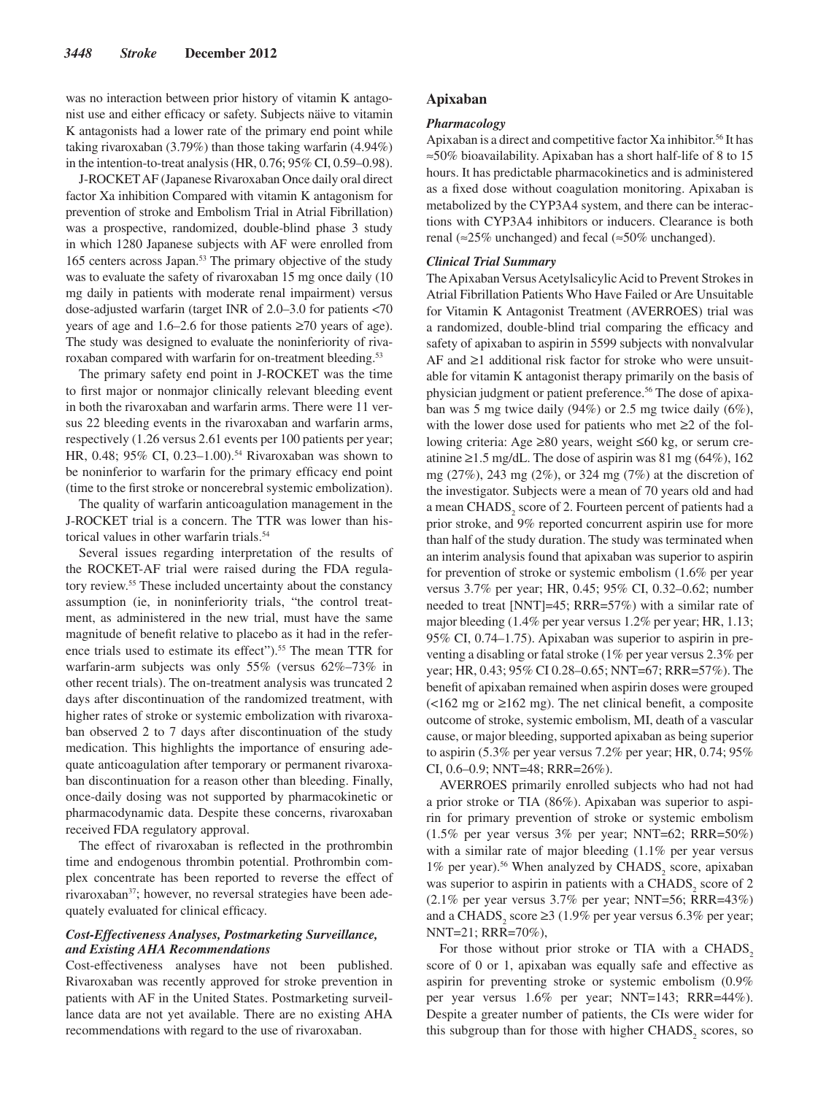was no interaction between prior history of vitamin K antagonist use and either efficacy or safety. Subjects näive to vitamin K antagonists had a lower rate of the primary end point while taking rivaroxaban (3.79%) than those taking warfarin (4.94%) in the intention-to-treat analysis (HR, 0.76; 95% CI, 0.59–0.98).

J-ROCKET AF (Japanese Rivaroxaban Once daily oral direct factor Xa inhibition Compared with vitamin K antagonism for prevention of stroke and Embolism Trial in Atrial Fibrillation) was a prospective, randomized, double-blind phase 3 study in which 1280 Japanese subjects with AF were enrolled from 165 centers across Japan.53 The primary objective of the study was to evaluate the safety of rivaroxaban 15 mg once daily (10 mg daily in patients with moderate renal impairment) versus dose-adjusted warfarin (target INR of 2.0–3.0 for patients <70 years of age and 1.6–2.6 for those patients ≥70 years of age). The study was designed to evaluate the noninferiority of rivaroxaban compared with warfarin for on-treatment bleeding.<sup>53</sup>

The primary safety end point in J-ROCKET was the time to first major or nonmajor clinically relevant bleeding event in both the rivaroxaban and warfarin arms. There were 11 versus 22 bleeding events in the rivaroxaban and warfarin arms, respectively (1.26 versus 2.61 events per 100 patients per year; HR, 0.48; 95% CI, 0.23-1.00).<sup>54</sup> Rivaroxaban was shown to be noninferior to warfarin for the primary efficacy end point (time to the first stroke or noncerebral systemic embolization).

The quality of warfarin anticoagulation management in the J-ROCKET trial is a concern. The TTR was lower than historical values in other warfarin trials.<sup>54</sup>

Several issues regarding interpretation of the results of the ROCKET-AF trial were raised during the FDA regulatory review.55 These included uncertainty about the constancy assumption (ie, in noninferiority trials, "the control treatment, as administered in the new trial, must have the same magnitude of benefit relative to placebo as it had in the reference trials used to estimate its effect").<sup>55</sup> The mean TTR for warfarin-arm subjects was only 55% (versus 62%–73% in other recent trials). The on-treatment analysis was truncated 2 days after discontinuation of the randomized treatment, with higher rates of stroke or systemic embolization with rivaroxaban observed 2 to 7 days after discontinuation of the study medication. This highlights the importance of ensuring adequate anticoagulation after temporary or permanent rivaroxaban discontinuation for a reason other than bleeding. Finally, once-daily dosing was not supported by pharmacokinetic or pharmacodynamic data. Despite these concerns, rivaroxaban received FDA regulatory approval.

The effect of rivaroxaban is reflected in the prothrombin time and endogenous thrombin potential. Prothrombin complex concentrate has been reported to reverse the effect of rivaroxaban<sup>37</sup>; however, no reversal strategies have been adequately evaluated for clinical efficacy.

# *Cost-Effectiveness Analyses, Postmarketing Surveillance, and Existing AHA Recommendations*

Cost-effectiveness analyses have not been published. Rivaroxaban was recently approved for stroke prevention in patients with AF in the United States. Postmarketing surveillance data are not yet available. There are no existing AHA recommendations with regard to the use of rivaroxaban.

# **Apixaban**

#### *Pharmacology*

Apixaban is a direct and competitive factor Xa inhibitor.<sup>56</sup> It has ≈50% bioavailability. Apixaban has a short half-life of 8 to 15 hours. It has predictable pharmacokinetics and is administered as a fixed dose without coagulation monitoring. Apixaban is metabolized by the CYP3A4 system, and there can be interactions with CYP3A4 inhibitors or inducers. Clearance is both renal (≈25% unchanged) and fecal (≈50% unchanged).

#### *Clinical Trial Summary*

The Apixaban Versus Acetylsalicylic Acid to Prevent Strokes in Atrial Fibrillation Patients Who Have Failed or Are Unsuitable for Vitamin K Antagonist Treatment (AVERROES) trial was a randomized, double-blind trial comparing the efficacy and safety of apixaban to aspirin in 5599 subjects with nonvalvular AF and ≥1 additional risk factor for stroke who were unsuitable for vitamin K antagonist therapy primarily on the basis of physician judgment or patient preference.<sup>56</sup> The dose of apixaban was 5 mg twice daily (94%) or 2.5 mg twice daily (6%), with the lower dose used for patients who met ≥2 of the following criteria: Age ≥80 years, weight ≤60 kg, or serum creatinine  $\geq$ 1.5 mg/dL. The dose of aspirin was 81 mg (64%), 162 mg (27%), 243 mg (2%), or 324 mg (7%) at the discretion of the investigator. Subjects were a mean of 70 years old and had a mean  $\text{CHADS}_2$  score of 2. Fourteen percent of patients had a prior stroke, and 9% reported concurrent aspirin use for more than half of the study duration. The study was terminated when an interim analysis found that apixaban was superior to aspirin for prevention of stroke or systemic embolism (1.6% per year versus 3.7% per year; HR, 0.45; 95% CI, 0.32–0.62; number needed to treat [NNT]=45; RRR=57%) with a similar rate of major bleeding (1.4% per year versus 1.2% per year; HR, 1.13; 95% CI, 0.74–1.75). Apixaban was superior to aspirin in preventing a disabling or fatal stroke (1% per year versus 2.3% per year; HR, 0.43; 95% CI 0.28–0.65; NNT=67; RRR=57%). The benefit of apixaban remained when aspirin doses were grouped  $\left($ <162 mg or  $\geq$ 162 mg). The net clinical benefit, a composite outcome of stroke, systemic embolism, MI, death of a vascular cause, or major bleeding, supported apixaban as being superior to aspirin (5.3% per year versus 7.2% per year; HR, 0.74; 95% CI, 0.6–0.9; NNT=48; RRR=26%).

AVERROES primarily enrolled subjects who had not had a prior stroke or TIA (86%). Apixaban was superior to aspirin for primary prevention of stroke or systemic embolism (1.5% per year versus 3% per year; NNT=62; RRR=50%) with a similar rate of major bleeding (1.1% per year versus 1% per year).<sup>56</sup> When analyzed by CHADS<sub>2</sub> score, apixaban was superior to aspirin in patients with a CHADS<sub>2</sub> score of  $2$ (2.1% per year versus 3.7% per year; NNT=56; RRR=43%) and a CHADS<sub>2</sub> score  $\geq$ 3 (1.9% per year versus 6.3% per year; NNT=21; RRR=70%),

For those without prior stroke or TIA with a CHADS<sub>2</sub> score of 0 or 1, apixaban was equally safe and effective as aspirin for preventing stroke or systemic embolism (0.9% per year versus 1.6% per year; NNT=143; RRR=44%). Despite a greater number of patients, the CIs were wider for this subgroup than for those with higher  $\mathrm{CHADS}_2$  scores, so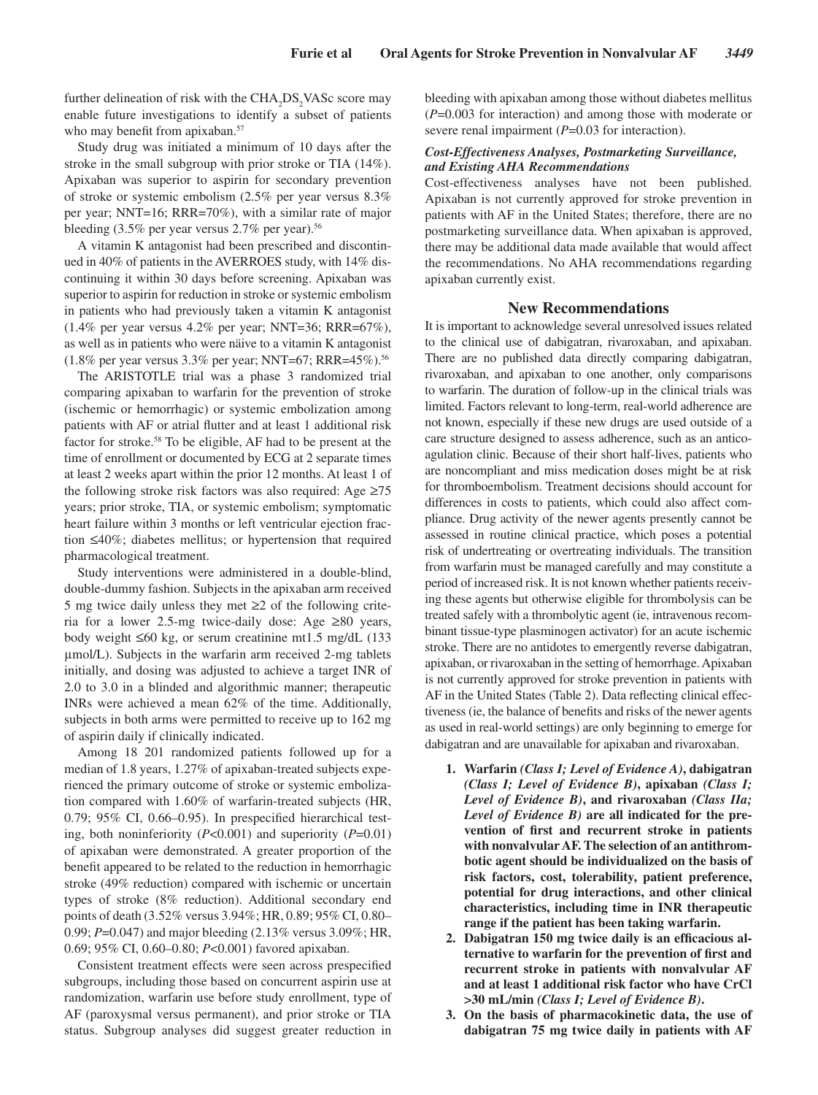further delineation of risk with the  $CHA<sub>2</sub>DS<sub>2</sub> VASC score may$ enable future investigations to identify a subset of patients who may benefit from apixaban.<sup>57</sup>

Study drug was initiated a minimum of 10 days after the stroke in the small subgroup with prior stroke or TIA (14%). Apixaban was superior to aspirin for secondary prevention of stroke or systemic embolism (2.5% per year versus 8.3% per year; NNT=16; RRR=70%), with a similar rate of major bleeding  $(3.5\%$  per year versus 2.7% per year).<sup>56</sup>

A vitamin K antagonist had been prescribed and discontinued in 40% of patients in the AVERROES study, with 14% discontinuing it within 30 days before screening. Apixaban was superior to aspirin for reduction in stroke or systemic embolism in patients who had previously taken a vitamin K antagonist (1.4% per year versus 4.2% per year; NNT=36; RRR=67%), as well as in patients who were näive to a vitamin K antagonist  $(1.8\%$  per year versus 3.3% per year; NNT=67; RRR=45%).<sup>56</sup>

The ARISTOTLE trial was a phase 3 randomized trial comparing apixaban to warfarin for the prevention of stroke (ischemic or hemorrhagic) or systemic embolization among patients with AF or atrial flutter and at least 1 additional risk factor for stroke.58 To be eligible, AF had to be present at the time of enrollment or documented by ECG at 2 separate times at least 2 weeks apart within the prior 12 months. At least 1 of the following stroke risk factors was also required: Age ≥75 years; prior stroke, TIA, or systemic embolism; symptomatic heart failure within 3 months or left ventricular ejection fraction ≤40%; diabetes mellitus; or hypertension that required pharmacological treatment.

Study interventions were administered in a double-blind, double-dummy fashion. Subjects in the apixaban arm received 5 mg twice daily unless they met  $\geq 2$  of the following criteria for a lower 2.5-mg twice-daily dose: Age ≥80 years, body weight ≤60 kg, or serum creatinine mt1.5 mg/dL (133 μmol/L). Subjects in the warfarin arm received 2-mg tablets initially, and dosing was adjusted to achieve a target INR of 2.0 to 3.0 in a blinded and algorithmic manner; therapeutic INRs were achieved a mean 62% of the time. Additionally, subjects in both arms were permitted to receive up to 162 mg of aspirin daily if clinically indicated.

Among 18 201 randomized patients followed up for a median of 1.8 years, 1.27% of apixaban-treated subjects experienced the primary outcome of stroke or systemic embolization compared with 1.60% of warfarin-treated subjects (HR, 0.79; 95% CI, 0.66–0.95). In prespecified hierarchical testing, both noninferiority (*P*<0.001) and superiority (*P*=0.01) of apixaban were demonstrated. A greater proportion of the benefit appeared to be related to the reduction in hemorrhagic stroke (49% reduction) compared with ischemic or uncertain types of stroke (8% reduction). Additional secondary end points of death (3.52% versus 3.94%; HR, 0.89; 95% CI, 0.80– 0.99; *P*=0.047) and major bleeding (2.13% versus 3.09%; HR, 0.69; 95% CI, 0.60–0.80; *P*<0.001) favored apixaban.

Consistent treatment effects were seen across prespecified subgroups, including those based on concurrent aspirin use at randomization, warfarin use before study enrollment, type of AF (paroxysmal versus permanent), and prior stroke or TIA status. Subgroup analyses did suggest greater reduction in bleeding with apixaban among those without diabetes mellitus (*P*=0.003 for interaction) and among those with moderate or severe renal impairment (*P*=0.03 for interaction).

#### *Cost-Effectiveness Analyses, Postmarketing Surveillance, and Existing AHA Recommendations*

Cost-effectiveness analyses have not been published. Apixaban is not currently approved for stroke prevention in patients with AF in the United States; therefore, there are no postmarketing surveillance data. When apixaban is approved, there may be additional data made available that would affect the recommendations. No AHA recommendations regarding apixaban currently exist.

#### **New Recommendations**

It is important to acknowledge several unresolved issues related to the clinical use of dabigatran, rivaroxaban, and apixaban. There are no published data directly comparing dabigatran, rivaroxaban, and apixaban to one another, only comparisons to warfarin. The duration of follow-up in the clinical trials was limited. Factors relevant to long-term, real-world adherence are not known, especially if these new drugs are used outside of a care structure designed to assess adherence, such as an anticoagulation clinic. Because of their short half-lives, patients who are noncompliant and miss medication doses might be at risk for thromboembolism. Treatment decisions should account for differences in costs to patients, which could also affect compliance. Drug activity of the newer agents presently cannot be assessed in routine clinical practice, which poses a potential risk of undertreating or overtreating individuals. The transition from warfarin must be managed carefully and may constitute a period of increased risk. It is not known whether patients receiving these agents but otherwise eligible for thrombolysis can be treated safely with a thrombolytic agent (ie, intravenous recombinant tissue-type plasminogen activator) for an acute ischemic stroke. There are no antidotes to emergently reverse dabigatran, apixaban, or rivaroxaban in the setting of hemorrhage. Apixaban is not currently approved for stroke prevention in patients with AF in the United States (Table 2). Data reflecting clinical effectiveness (ie, the balance of benefits and risks of the newer agents as used in real-world settings) are only beginning to emerge for dabigatran and are unavailable for apixaban and rivaroxaban.

- **1. Warfarin** *(Class I; Level of Evidence A)***, dabigatran**  *(Class I; Level of Evidence B)***, apixaban** *(Class I; Level of Evidence B)***, and rivaroxaban** *(Class IIa; Level of Evidence B)* **are all indicated for the prevention of first and recurrent stroke in patients with nonvalvular AF. The selection of an antithrombotic agent should be individualized on the basis of risk factors, cost, tolerability, patient preference, potential for drug interactions, and other clinical characteristics, including time in INR therapeutic range if the patient has been taking warfarin.**
- **2. Dabigatran 150 mg twice daily is an efficacious alternative to warfarin for the prevention of first and recurrent stroke in patients with nonvalvular AF and at least 1 additional risk factor who have CrCl >30 mL/min** *(Class I; Level of Evidence B)***.**
- **3. On the basis of pharmacokinetic data, the use of dabigatran 75 mg twice daily in patients with AF**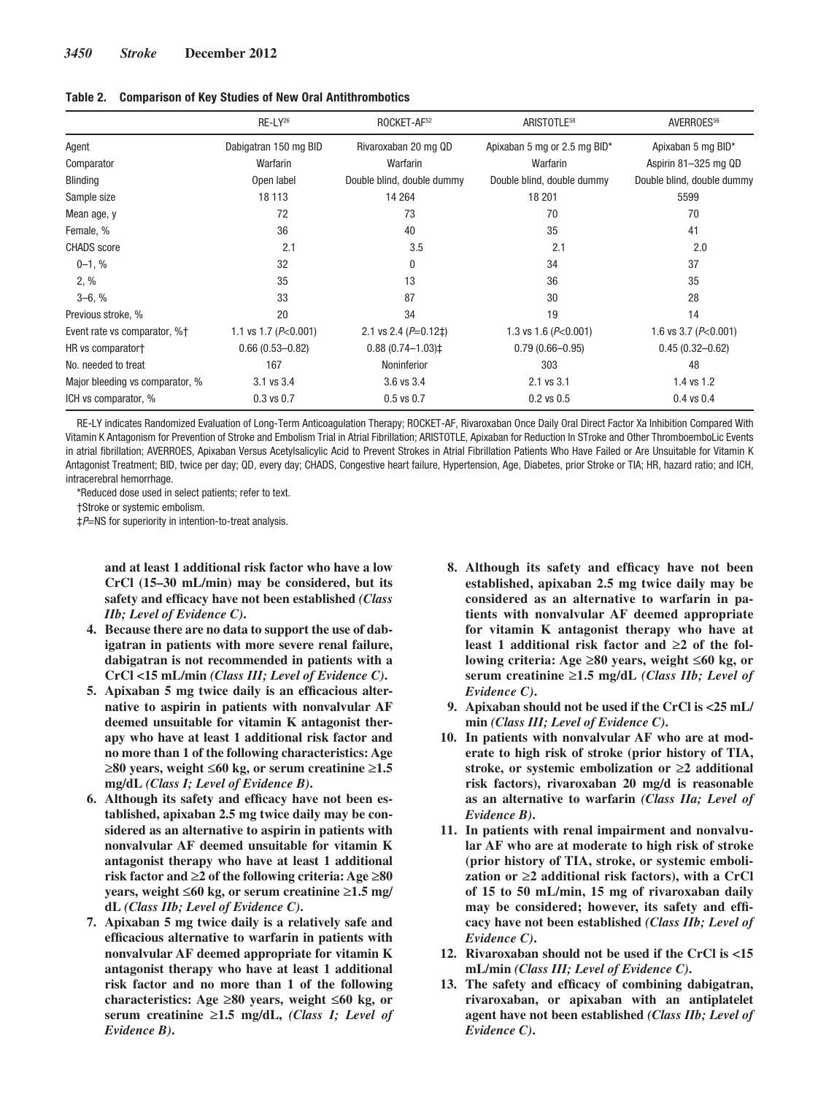|                                 | $RE-LY^{26}$             | ROCKET-AF <sup>52</sup>    | ARISTOTLE <sup>58</sup>      | AVERROES <sup>56</sup>     |
|---------------------------------|--------------------------|----------------------------|------------------------------|----------------------------|
| Agent                           | Dabigatran 150 mg BID    | Rivaroxaban 20 mg QD       | Apixaban 5 mg or 2.5 mg BID* | Apixaban 5 mg BID*         |
| Comparator                      | Warfarin                 | Warfarin                   | Warfarin                     | Aspirin 81-325 mg QD       |
| Blinding                        | Open label               | Double blind, double dummy | Double blind, double dummy   | Double blind, double dummy |
| Sample size                     | 18 113                   | 14 264                     | 18 201                       | 5599                       |
| Mean age, y                     | 72                       | 73                         | 70                           | 70                         |
| Female, %                       | 36                       | 40                         | 35                           | 41                         |
| <b>CHADS</b> score              | 2.1                      | 3.5                        | 2.1                          | 2.0                        |
| $0 - 1, %$                      | 32                       | $\mathbf{0}$               | 34                           | 37                         |
| $2, \%$<br>35                   |                          | 13                         | 36                           | 35                         |
| $3-6, %$                        | 33                       | 87                         | 30                           | 28                         |
| Previous stroke, %              | 20                       | 34                         | 19                           | 14                         |
| Event rate vs comparator, %+    | 1.1 vs 1.7 ( $P<0.001$ ) | 2.1 vs 2.4 $(P=0.12\pm)$   | 1.3 vs 1.6 ( $P<0.001$ )     | 1.6 vs 3.7 ( $P<0.001$ )   |
| HR vs comparator <sup>+</sup>   | $0.66(0.53 - 0.82)$      | $0.88(0.74 - 1.03)$        | $0.79(0.66 - 0.95)$          | $0.45(0.32 - 0.62)$        |
| No. needed to treat             | 167                      | Noninferior                | 303                          | 48                         |
| Major bleeding vs comparator, % | 3.1 vs 3.4               | 3.6 vs 3.4                 | 2.1 vs 3.1                   | 1.4 vs 1.2                 |
| ICH vs comparator, %            | $0.3$ vs $0.7$           | $0.5$ vs $0.7$             | $0.2$ vs $0.5$               | $0.4$ vs $0.4$             |

RE-LY indicates Randomized Evaluation of Long-Term Anticoagulation Therapy; ROCKET-AF, Rivaroxaban Once Daily Oral Direct Factor Xa Inhibition Compared With Vitamin K Antagonism for Prevention of Stroke and Embolism Trial in Atrial Fibrillation; ARISTOTLE, Apixaban for Reduction In STroke and Other ThromboemboLic Events in atrial fibrillation; AVERROES, Apixaban Versus Acetylsalicylic Acid to Prevent Strokes in Atrial Fibrillation Patients Who Have Failed or Are Unsuitable for Vitamin K Antagonist Treatment; BID, twice per day; QD, every day; CHADS, Congestive heart failure, Hypertension, Age, Diabetes, prior Stroke or TIA; HR, hazard ratio; and ICH, intracerebral hemorrhage.

\*Reduced dose used in select patients; refer to text.

†Stroke or systemic embolism.

‡P=NS for superiority in intention-to-treat analysis.

**and at least 1 additional risk factor who have a low CrCl (15–30 mL/min) may be considered, but its safety and efficacy have not been established** *(Class IIb; Level of Evidence C)***.**

- **4. Because there are no data to support the use of dabigatran in patients with more severe renal failure, dabigatran is not recommended in patients with a CrCl <15 mL/min** *(Class III; Level of Evidence C)***.**
- **5. Apixaban 5 mg twice daily is an efficacious alternative to aspirin in patients with nonvalvular AF deemed unsuitable for vitamin K antagonist therapy who have at least 1 additional risk factor and no more than 1 of the following characteristics: Age**  ≥**80 years, weight** ≤**60 kg, or serum creatinine** ≥**1.5 mg/dL** *(Class I; Level of Evidence B)***.**
- **6. Although its safety and efficacy have not been established, apixaban 2.5 mg twice daily may be considered as an alternative to aspirin in patients with nonvalvular AF deemed unsuitable for vitamin K antagonist therapy who have at least 1 additional risk factor and** ≥**2 of the following criteria: Age** ≥**80 years, weight** ≤**60 kg, or serum creatinine** ≥**1.5 mg/ dL** *(Class IIb; Level of Evidence C)***.**
- **7. Apixaban 5 mg twice daily is a relatively safe and efficacious alternative to warfarin in patients with nonvalvular AF deemed appropriate for vitamin K antagonist therapy who have at least 1 additional risk factor and no more than 1 of the following characteristics: Age** ≥**80 years, weight** ≤**60 kg, or serum creatinine** ≥**1.5 mg/dL,** *(Class I; Level of Evidence B)***.**
- **8. Although its safety and efficacy have not been established, apixaban 2.5 mg twice daily may be considered as an alternative to warfarin in patients with nonvalvular AF deemed appropriate for vitamin K antagonist therapy who have at least 1 additional risk factor and** ≥**2 of the following criteria: Age** ≥**80 years, weight** ≤**60 kg, or serum creatinine** ≥**1.5 mg/dL** *(Class IIb; Level of Evidence C)***.**
- **9. Apixaban should not be used if the CrCl is <25 mL/ min** *(Class III; Level of Evidence C)***.**
- **10. In patients with nonvalvular AF who are at moderate to high risk of stroke (prior history of TIA, stroke, or systemic embolization or** ≥**2 additional risk factors), rivaroxaban 20 mg/d is reasonable as an alternative to warfarin** *(Class IIa; Level of Evidence B)***.**
- **11. In patients with renal impairment and nonvalvular AF who are at moderate to high risk of stroke (prior history of TIA, stroke, or systemic embolization or** ≥**2 additional risk factors), with a CrCl of 15 to 50 mL/min, 15 mg of rivaroxaban daily may be considered; however, its safety and efficacy have not been established** *(Class IIb; Level of Evidence C)***.**
- **12. Rivaroxaban should not be used if the CrCl is <15 mL/min** *(Class III; Level of Evidence C)***.**
- **13. The safety and efficacy of combining dabigatran, rivaroxaban, or apixaban with an antiplatelet agent have not been established** *(Class IIb; Level of Evidence C)***.**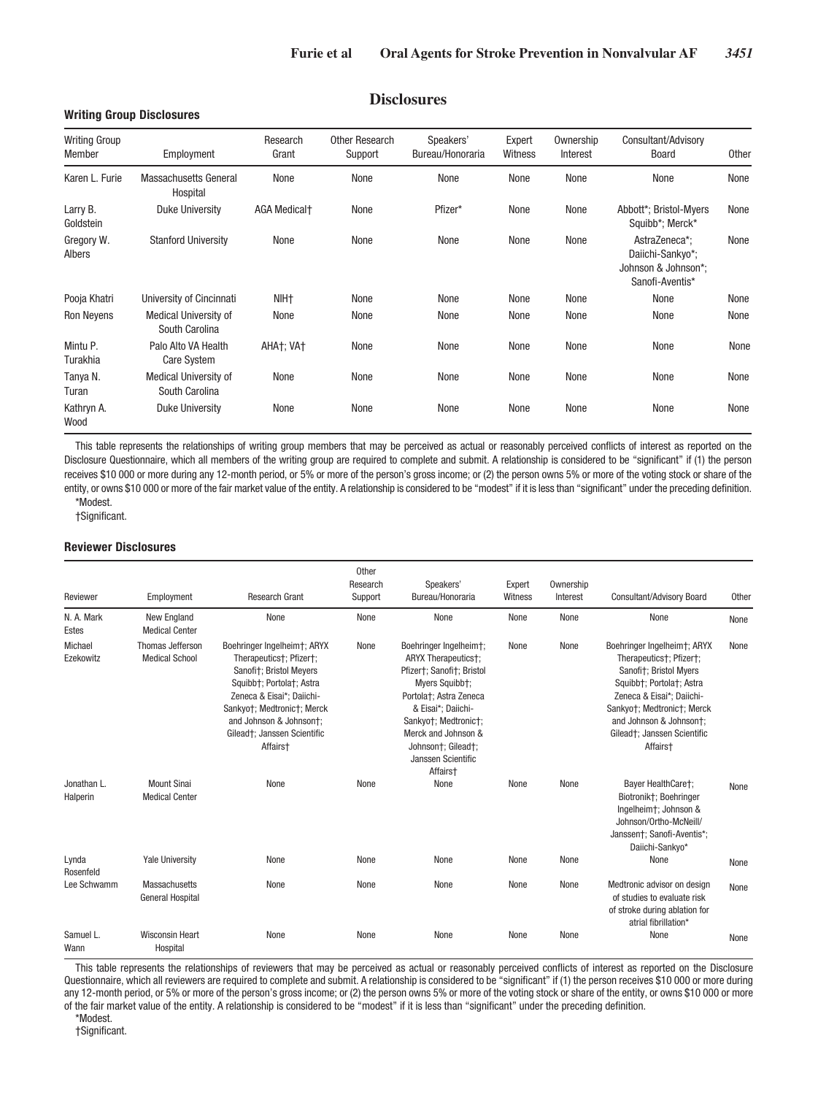# **Disclosures**

### **Writing Group Disclosures**

| <b>Writing Group</b><br>Member | Employment                                     | Research<br>Grant   | Other Research<br>Support | Speakers'<br>Bureau/Honoraria | Expert<br>Witness | Ownership<br>Interest | Consultant/Advisory<br>Board                                                | <b>Other</b> |
|--------------------------------|------------------------------------------------|---------------------|---------------------------|-------------------------------|-------------------|-----------------------|-----------------------------------------------------------------------------|--------------|
| Karen L. Furie                 | <b>Massachusetts General</b><br>Hospital       | None                | None                      | None                          | None              | None                  | None                                                                        | None         |
| Larry B.<br>Goldstein          | <b>Duke University</b>                         | <b>AGA Medicalt</b> | None                      | Pfizer*                       | None              | None                  | Abbott*: Bristol-Myers<br>Squibb*; Merck*                                   | None         |
| Gregory W.<br>Albers           | <b>Stanford University</b>                     | None                | None                      | None                          | None              | None                  | AstraZeneca*:<br>Daiichi-Sankyo*:<br>Johnson & Johnson*:<br>Sanofi-Aventis* | None         |
| Pooja Khatri                   | University of Cincinnati                       | NIH <sub>t</sub>    | None                      | None                          | None              | None                  | None                                                                        | None         |
| <b>Ron Nevens</b>              | <b>Medical University of</b><br>South Carolina | None                | None                      | None                          | None              | None                  | None                                                                        | None         |
| Mintu P.<br>Turakhia           | Palo Alto VA Health<br><b>Care System</b>      | AHAT: VAT           | None                      | None                          | None              | None                  | None                                                                        | None         |
| Tanya N.<br>Turan              | <b>Medical University of</b><br>South Carolina | None                | None                      | None                          | None              | None                  | None                                                                        | None         |
| Kathryn A.<br>Wood             | Duke University                                | None                | None                      | None                          | None              | None                  | None                                                                        | None         |

This table represents the relationships of writing group members that may be perceived as actual or reasonably perceived conflicts of interest as reported on the Disclosure Questionnaire, which all members of the writing group are required to complete and submit. A relationship is considered to be "significant" if (1) the person receives \$10 000 or more during any 12-month period, or 5% or more of the person's gross income; or (2) the person owns 5% or more of the voting stock or share of the entity, or owns \$10 000 or more of the fair market value of the entity. A relationship is considered to be "modest" if it is less than "significant" under the preceding definition.

\*Modest. †Significant.

#### **Reviewer Disclosures**

| Reviewer                | Employment                                      | <b>Research Grant</b>                                                                                                                                                                                                                          | Other<br>Research<br>Support | Speakers'<br>Bureau/Honoraria                                                                                                                                                                                                                       | Expert<br>Witness | Ownership<br>Interest | Consultant/Advisory Board                                                                                                                                                                                                                     | Other |
|-------------------------|-------------------------------------------------|------------------------------------------------------------------------------------------------------------------------------------------------------------------------------------------------------------------------------------------------|------------------------------|-----------------------------------------------------------------------------------------------------------------------------------------------------------------------------------------------------------------------------------------------------|-------------------|-----------------------|-----------------------------------------------------------------------------------------------------------------------------------------------------------------------------------------------------------------------------------------------|-------|
| N. A. Mark<br>Estes     | New England<br><b>Medical Center</b>            | None                                                                                                                                                                                                                                           | None                         | None                                                                                                                                                                                                                                                | None              | None                  | None                                                                                                                                                                                                                                          | None  |
| Michael<br>Ezekowitz    | Thomas Jefferson<br><b>Medical School</b>       | Boehringer Ingelheim†; ARYX<br>Therapeutics†; Pfizer†;<br>Sanofi†; Bristol Meyers<br>Squibb†; Portola†; Astra<br>Zeneca & Eisai*; Daiichi-<br>Sankyot; Medtronict; Merck<br>and Johnson & Johnsont:<br>Gilead†; Janssen Scientific<br>Affairst | None                         | Boehringer Ingelheim†;<br>ARYX Therapeutics+:<br>Pfizer†; Sanofi†; Bristol<br>Myers Squibb†;<br>Portola†; Astra Zeneca<br>& Eisai*; Daiichi-<br>Sankyot; Medtronict;<br>Merck and Johnson &<br>Johnsont; Gileadt;<br>Janssen Scientific<br>Affairst | None              | None                  | Boehringer Ingelheim†; ARYX<br>Therapeutics†; Pfizer†;<br>Sanofi†; Bristol Myers<br>Squibb†; Portola†; Astra<br>Zeneca & Eisai*; Daiichi-<br>Sankyot: Medtronict: Merck<br>and Johnson & Johnson+:<br>Gilead†; Janssen Scientific<br>Affairst | None  |
| Jonathan L.<br>Halperin | <b>Mount Sinai</b><br><b>Medical Center</b>     | None                                                                                                                                                                                                                                           | None                         | None                                                                                                                                                                                                                                                | None              | None                  | Bayer HealthCaret:<br>Biotronik†; Boehringer<br>Ingelheim+; Johnson &<br>Johnson/Ortho-McNeill/<br>Janssen†; Sanofi-Aventis*;<br>Daiichi-Sankyo*                                                                                              | None  |
| Lynda<br>Rosenfeld      | <b>Yale University</b>                          | None                                                                                                                                                                                                                                           | None                         | None                                                                                                                                                                                                                                                | None              | None                  | None                                                                                                                                                                                                                                          | None  |
| Lee Schwamm             | <b>Massachusetts</b><br><b>General Hospital</b> | None                                                                                                                                                                                                                                           | None                         | None                                                                                                                                                                                                                                                | None              | None                  | Medtronic advisor on design<br>of studies to evaluate risk<br>of stroke during ablation for<br>atrial fibrillation*                                                                                                                           | None  |
| Samuel L.<br>Wann       | <b>Wisconsin Heart</b><br>Hospital              | None                                                                                                                                                                                                                                           | None                         | None                                                                                                                                                                                                                                                | None              | None                  | None                                                                                                                                                                                                                                          | None  |

This table represents the relationships of reviewers that may be perceived as actual or reasonably perceived conflicts of interest as reported on the Disclosure Questionnaire, which all reviewers are required to complete and submit. A relationship is considered to be "significant" if (1) the person receives \$10 000 or more during any 12-month period, or 5% or more of the person's gross income; or (2) the person owns 5% or more of the voting stock or share of the entity, or owns \$10 000 or more of the fair market value of the entity. A relationship is considered to be "modest" if it is less than "significant" under the preceding definition.

\*Modest.

†Significant.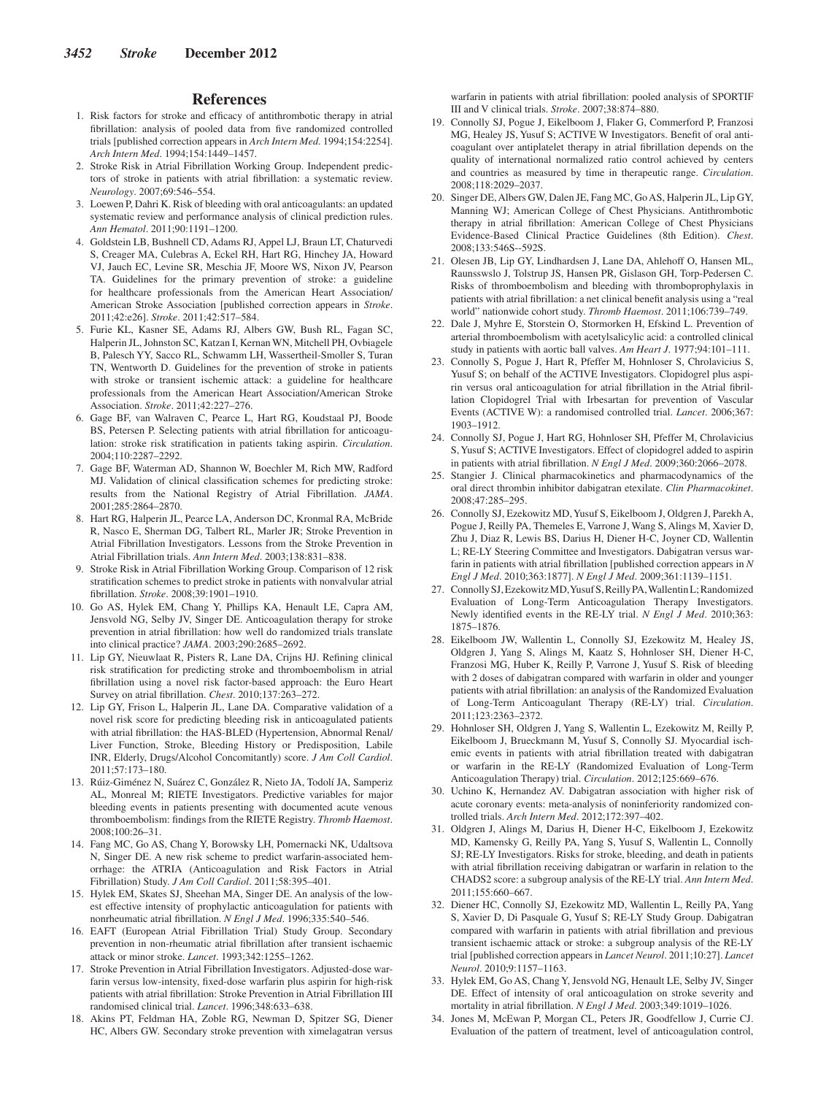# **References**

- 1. Risk factors for stroke and efficacy of antithrombotic therapy in atrial fibrillation: analysis of pooled data from five randomized controlled trials [published correction appears in *Arch Intern Med*. 1994;154:2254]. *Arch Intern Med*. 1994;154:1449–1457.
- 2. Stroke Risk in Atrial Fibrillation Working Group. Independent predictors of stroke in patients with atrial fibrillation: a systematic review. *Neurology*. 2007;69:546–554.
- 3. Loewen P, Dahri K. Risk of bleeding with oral anticoagulants: an updated systematic review and performance analysis of clinical prediction rules. *Ann Hematol*. 2011;90:1191–1200.
- 4. Goldstein LB, Bushnell CD, Adams RJ, Appel LJ, Braun LT, Chaturvedi S, Creager MA, Culebras A, Eckel RH, Hart RG, Hinchey JA, Howard VJ, Jauch EC, Levine SR, Meschia JF, Moore WS, Nixon JV, Pearson TA. Guidelines for the primary prevention of stroke: a guideline for healthcare professionals from the American Heart Association/ American Stroke Association [published correction appears in *Stroke*. 2011;42:e26]. *Stroke*. 2011;42:517–584.
- 5. Furie KL, Kasner SE, Adams RJ, Albers GW, Bush RL, Fagan SC, Halperin JL, Johnston SC, Katzan I, Kernan WN, Mitchell PH, Ovbiagele B, Palesch YY, Sacco RL, Schwamm LH, Wassertheil-Smoller S, Turan TN, Wentworth D. Guidelines for the prevention of stroke in patients with stroke or transient ischemic attack: a guideline for healthcare professionals from the American Heart Association/American Stroke Association. *Stroke*. 2011;42:227–276.
- 6. Gage BF, van Walraven C, Pearce L, Hart RG, Koudstaal PJ, Boode BS, Petersen P. Selecting patients with atrial fibrillation for anticoagulation: stroke risk stratification in patients taking aspirin. *Circulation*. 2004;110:2287–2292.
- 7. Gage BF, Waterman AD, Shannon W, Boechler M, Rich MW, Radford MJ. Validation of clinical classification schemes for predicting stroke: results from the National Registry of Atrial Fibrillation. *JAMA*. 2001;285:2864–2870.
- 8. Hart RG, Halperin JL, Pearce LA, Anderson DC, Kronmal RA, McBride R, Nasco E, Sherman DG, Talbert RL, Marler JR; Stroke Prevention in Atrial Fibrillation Investigators. Lessons from the Stroke Prevention in Atrial Fibrillation trials. *Ann Intern Med*. 2003;138:831–838.
- 9. Stroke Risk in Atrial Fibrillation Working Group. Comparison of 12 risk stratification schemes to predict stroke in patients with nonvalvular atrial fibrillation. *Stroke*. 2008;39:1901–1910.
- 10. Go AS, Hylek EM, Chang Y, Phillips KA, Henault LE, Capra AM, Jensvold NG, Selby JV, Singer DE. Anticoagulation therapy for stroke prevention in atrial fibrillation: how well do randomized trials translate into clinical practice? *JAMA*. 2003;290:2685–2692.
- 11. Lip GY, Nieuwlaat R, Pisters R, Lane DA, Crijns HJ. Refining clinical risk stratification for predicting stroke and thromboembolism in atrial fibrillation using a novel risk factor-based approach: the Euro Heart Survey on atrial fibrillation. *Chest*. 2010;137:263–272.
- 12. Lip GY, Frison L, Halperin JL, Lane DA. Comparative validation of a novel risk score for predicting bleeding risk in anticoagulated patients with atrial fibrillation: the HAS-BLED (Hypertension, Abnormal Renal/ Liver Function, Stroke, Bleeding History or Predisposition, Labile INR, Elderly, Drugs/Alcohol Concomitantly) score. *J Am Coll Cardiol*. 2011;57:173–180.
- 13. Rúiz-Giménez N, Suárez C, González R, Nieto JA, Todolí JA, Samperiz AL, Monreal M; RIETE Investigators. Predictive variables for major bleeding events in patients presenting with documented acute venous thromboembolism: findings from the RIETE Registry. *Thromb Haemost*. 2008;100:26–31.
- 14. Fang MC, Go AS, Chang Y, Borowsky LH, Pomernacki NK, Udaltsova N, Singer DE. A new risk scheme to predict warfarin-associated hemorrhage: the ATRIA (Anticoagulation and Risk Factors in Atrial Fibrillation) Study. *J Am Coll Cardiol*. 2011;58:395–401.
- 15. Hylek EM, Skates SJ, Sheehan MA, Singer DE. An analysis of the lowest effective intensity of prophylactic anticoagulation for patients with nonrheumatic atrial fibrillation. *N Engl J Med*. 1996;335:540–546.
- 16. EAFT (European Atrial Fibrillation Trial) Study Group. Secondary prevention in non-rheumatic atrial fibrillation after transient ischaemic attack or minor stroke. *Lancet*. 1993;342:1255–1262.
- 17. Stroke Prevention in Atrial Fibrillation Investigators. Adjusted-dose warfarin versus low-intensity, fixed-dose warfarin plus aspirin for high-risk patients with atrial fibrillation: Stroke Prevention in Atrial Fibrillation III randomised clinical trial. *Lancet*. 1996;348:633–638.
- 18. Akins PT, Feldman HA, Zoble RG, Newman D, Spitzer SG, Diener HC, Albers GW. Secondary stroke prevention with ximelagatran versus

warfarin in patients with atrial fibrillation: pooled analysis of SPORTIF III and V clinical trials. *Stroke*. 2007;38:874–880.

- 19. Connolly SJ, Pogue J, Eikelboom J, Flaker G, Commerford P, Franzosi MG, Healey JS, Yusuf S; ACTIVE W Investigators. Benefit of oral anticoagulant over antiplatelet therapy in atrial fibrillation depends on the quality of international normalized ratio control achieved by centers and countries as measured by time in therapeutic range. *Circulation*. 2008;118:2029–2037.
- 20. Singer DE, Albers GW, Dalen JE, Fang MC, Go AS, Halperin JL, Lip GY, Manning WJ; American College of Chest Physicians. Antithrombotic therapy in atrial fibrillation: American College of Chest Physicians Evidence-Based Clinical Practice Guidelines (8th Edition). *Chest*. 2008;133:546S--592S.
- 21. Olesen JB, Lip GY, Lindhardsen J, Lane DA, Ahlehoff O, Hansen ML, Raunsswslo J, Tolstrup JS, Hansen PR, Gislason GH, Torp-Pedersen C. Risks of thromboembolism and bleeding with thromboprophylaxis in patients with atrial fibrillation: a net clinical benefit analysis using a "real world" nationwide cohort study. *Thromb Haemost*. 2011;106:739–749.
- 22. Dale J, Myhre E, Storstein O, Stormorken H, Efskind L. Prevention of arterial thromboembolism with acetylsalicylic acid: a controlled clinical study in patients with aortic ball valves. *Am Heart J*. 1977;94:101–111.
- 23. Connolly S, Pogue J, Hart R, Pfeffer M, Hohnloser S, Chrolavicius S, Yusuf S; on behalf of the ACTIVE Investigators. Clopidogrel plus aspirin versus oral anticoagulation for atrial fibrillation in the Atrial fibrillation Clopidogrel Trial with Irbesartan for prevention of Vascular Events (ACTIVE W): a randomised controlled trial. *Lancet*. 2006;367: 1903–1912.
- 24. Connolly SJ, Pogue J, Hart RG, Hohnloser SH, Pfeffer M, Chrolavicius S, Yusuf S; ACTIVE Investigators. Effect of clopidogrel added to aspirin in patients with atrial fibrillation. *N Engl J Med*. 2009;360:2066–2078.
- 25. Stangier J. Clinical pharmacokinetics and pharmacodynamics of the oral direct thrombin inhibitor dabigatran etexilate. *Clin Pharmacokinet*. 2008;47:285–295.
- 26. Connolly SJ, Ezekowitz MD, Yusuf S, Eikelboom J, Oldgren J, Parekh A, Pogue J, Reilly PA, Themeles E, Varrone J, Wang S, Alings M, Xavier D, Zhu J, Diaz R, Lewis BS, Darius H, Diener H-C, Joyner CD, Wallentin L; RE-LY Steering Committee and Investigators. Dabigatran versus warfarin in patients with atrial fibrillation [published correction appears in *N Engl J Med*. 2010;363:1877]. *N Engl J Med*. 2009;361:1139–1151.
- 27. Connolly SJ, Ezekowitz MD, Yusuf S, Reilly PA, Wallentin L; Randomized Evaluation of Long-Term Anticoagulation Therapy Investigators. Newly identified events in the RE-LY trial. *N Engl J Med*. 2010;363: 1875–1876.
- 28. Eikelboom JW, Wallentin L, Connolly SJ, Ezekowitz M, Healey JS, Oldgren J, Yang S, Alings M, Kaatz S, Hohnloser SH, Diener H-C, Franzosi MG, Huber K, Reilly P, Varrone J, Yusuf S. Risk of bleeding with 2 doses of dabigatran compared with warfarin in older and younger patients with atrial fibrillation: an analysis of the Randomized Evaluation of Long-Term Anticoagulant Therapy (RE-LY) trial. *Circulation*. 2011;123:2363–2372.
- 29. Hohnloser SH, Oldgren J, Yang S, Wallentin L, Ezekowitz M, Reilly P, Eikelboom J, Brueckmann M, Yusuf S, Connolly SJ. Myocardial ischemic events in patients with atrial fibrillation treated with dabigatran or warfarin in the RE-LY (Randomized Evaluation of Long-Term Anticoagulation Therapy) trial. *Circulation*. 2012;125:669–676.
- 30. Uchino K, Hernandez AV. Dabigatran association with higher risk of acute coronary events: meta-analysis of noninferiority randomized controlled trials. *Arch Intern Med*. 2012;172:397–402.
- 31. Oldgren J, Alings M, Darius H, Diener H-C, Eikelboom J, Ezekowitz MD, Kamensky G, Reilly PA, Yang S, Yusuf S, Wallentin L, Connolly SJ; RE-LY Investigators. Risks for stroke, bleeding, and death in patients with atrial fibrillation receiving dabigatran or warfarin in relation to the CHADS2 score: a subgroup analysis of the RE-LY trial. *Ann Intern Med*. 2011;155:660–667.
- 32. Diener HC, Connolly SJ, Ezekowitz MD, Wallentin L, Reilly PA, Yang S, Xavier D, Di Pasquale G, Yusuf S; RE-LY Study Group. Dabigatran compared with warfarin in patients with atrial fibrillation and previous transient ischaemic attack or stroke: a subgroup analysis of the RE-LY trial [published correction appears in *Lancet Neurol*. 2011;10:27]. *Lancet Neurol*. 2010;9:1157–1163.
- 33. Hylek EM, Go AS, Chang Y, Jensvold NG, Henault LE, Selby JV, Singer DE. Effect of intensity of oral anticoagulation on stroke severity and mortality in atrial fibrillation. *N Engl J Med*. 2003;349:1019–1026.
- 34. Jones M, McEwan P, Morgan CL, Peters JR, Goodfellow J, Currie CJ. Evaluation of the pattern of treatment, level of anticoagulation control,